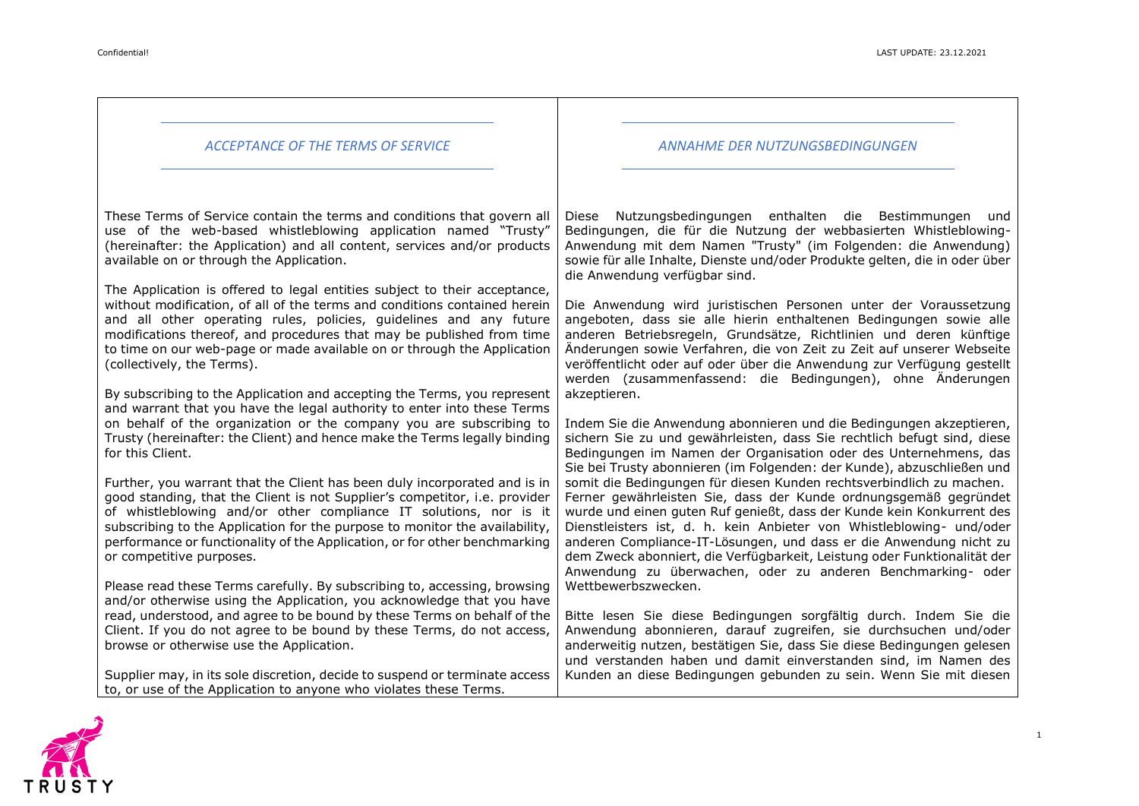#### *ACCEPTANCE OF THE TERMS OF SERVICE*

#### *ANNAHME DER NUTZUNGSBEDINGUNGEN*

These Terms of Service contain the terms and conditions that govern all use of the web-based whistleblowing application named "Trusty" (hereinafter: the Application) and all content, services and/or products available on or through the Application.

The Application is offered to legal entities subject to their acceptance, without modification, of all of the terms and conditions contained herein and all other operating rules, policies, guidelines and any future modifications thereof, and procedures that may be published from time to time on our web-page or made available on or through the Application (collectively, the Terms).

By subscribing to the Application and accepting the Terms, you represent and warrant that you have the legal authority to enter into these Terms on behalf of the organization or the company you are subscribing to Trusty (hereinafter: the Client) and hence make the Terms legally binding for this Client.

Further, you warrant that the Client has been duly incorporated and is in good standing, that the Client is not Supplier's competitor, i.e. provider of whistleblowing and/or other compliance IT solutions, nor is it subscribing to the Application for the purpose to monitor the availability, performance or functionality of the Application, or for other benchmarking or competitive purposes.

Please read these Terms carefully. By subscribing to, accessing, browsing and/or otherwise using the Application, you acknowledge that you have read, understood, and agree to be bound by these Terms on behalf of the Client. If you do not agree to be bound by these Terms, do not access, browse or otherwise use the Application.

Supplier may, in its sole discretion, decide to suspend or terminate access to, or use of the Application to anyone who violates these Terms.

Diese Nutzungsbedingungen enthalten die Bestimmungen und Bedingungen, die für die Nutzung der webbasierten Whistleblowing-Anwendung mit dem Namen "Trusty" (im Folgenden: die Anwendung) sowie für alle Inhalte, Dienste und/oder Produkte gelten, die in oder über die Anwendung verfügbar sind.

Die Anwendung wird juristischen Personen unter der Voraussetzung angeboten, dass sie alle hierin enthaltenen Bedingungen sowie alle anderen Betriebsregeln, Grundsätze, Richtlinien und deren künftige Änderungen sowie Verfahren, die von Zeit zu Zeit auf unserer Webseite veröffentlicht oder auf oder über die Anwendung zur Verfügung gestellt werden (zusammenfassend: die Bedingungen), ohne Änderungen akzeptieren.

Indem Sie die Anwendung abonnieren und die Bedingungen akzeptieren, sichern Sie zu und gewährleisten, dass Sie rechtlich befugt sind, diese Bedingungen im Namen der Organisation oder des Unternehmens, das Sie bei Trusty abonnieren (im Folgenden: der Kunde), abzuschließen und somit die Bedingungen für diesen Kunden rechtsverbindlich zu machen. Ferner gewährleisten Sie, dass der Kunde ordnungsgemäß gegründet wurde und einen guten Ruf genießt, dass der Kunde kein Konkurrent des Dienstleisters ist, d. h. kein Anbieter von Whistleblowing- und/oder anderen Compliance-IT-Lösungen, und dass er die Anwendung nicht zu dem Zweck abonniert, die Verfügbarkeit, Leistung oder Funktionalität der Anwendung zu überwachen, oder zu anderen Benchmarking- oder Wettbewerbszwecken.

Bitte lesen Sie diese Bedingungen sorgfältig durch. Indem Sie die Anwendung abonnieren, darauf zugreifen, sie durchsuchen und/oder anderweitig nutzen, bestätigen Sie, dass Sie diese Bedingungen gelesen und verstanden haben und damit einverstanden sind, im Namen des Kunden an diese Bedingungen gebunden zu sein. Wenn Sie mit diesen

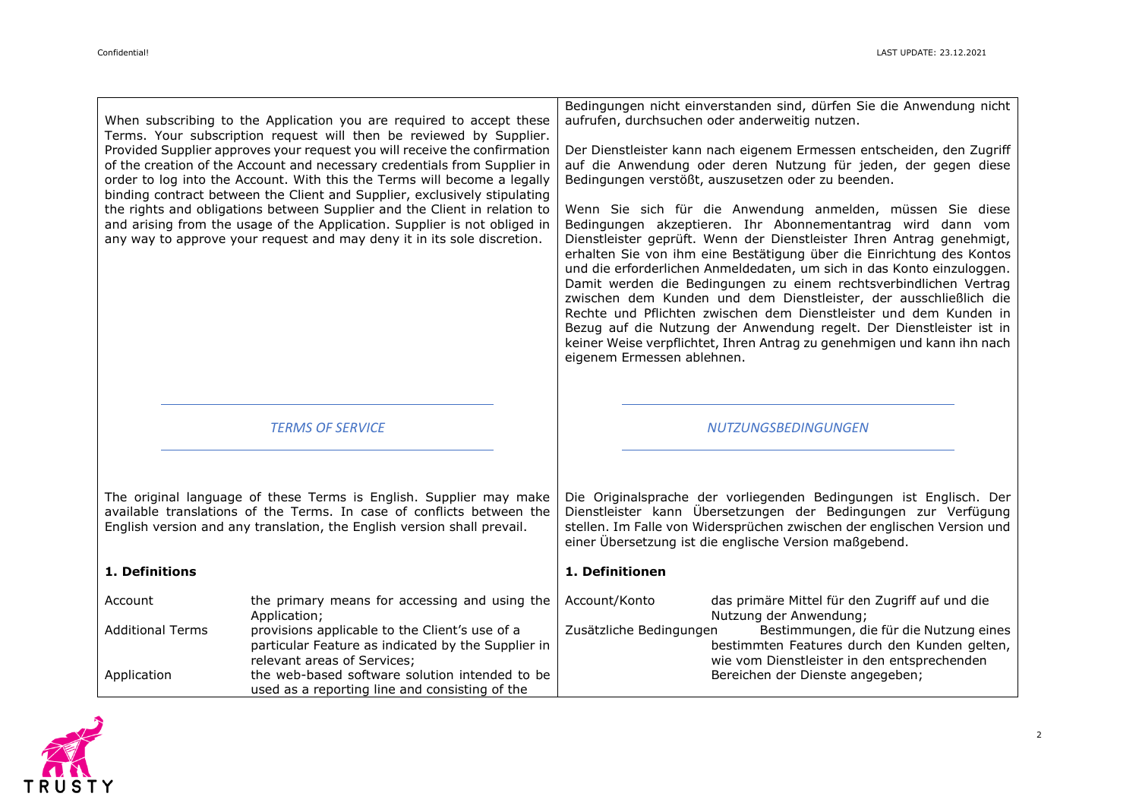|                         | When subscribing to the Application you are required to accept these<br>Terms. Your subscription request will then be reviewed by Supplier.<br>Provided Supplier approves your request you will receive the confirmation<br>of the creation of the Account and necessary credentials from Supplier in<br>order to log into the Account. With this the Terms will become a legally<br>binding contract between the Client and Supplier, exclusively stipulating<br>the rights and obligations between Supplier and the Client in relation to<br>and arising from the usage of the Application. Supplier is not obliged in<br>any way to approve your request and may deny it in its sole discretion. | Bedingungen nicht einverstanden sind, dürfen Sie die Anwendung nicht<br>aufrufen, durchsuchen oder anderweitig nutzen.<br>Der Dienstleister kann nach eigenem Ermessen entscheiden, den Zugriff<br>auf die Anwendung oder deren Nutzung für jeden, der gegen diese<br>Bedingungen verstößt, auszusetzen oder zu beenden.<br>Wenn Sie sich für die Anwendung anmelden, müssen Sie diese<br>Bedingungen akzeptieren. Ihr Abonnementantrag wird dann vom<br>Dienstleister geprüft. Wenn der Dienstleister Ihren Antrag genehmigt,<br>erhalten Sie von ihm eine Bestätigung über die Einrichtung des Kontos<br>und die erforderlichen Anmeldedaten, um sich in das Konto einzuloggen.<br>Damit werden die Bedingungen zu einem rechtsverbindlichen Vertrag<br>zwischen dem Kunden und dem Dienstleister, der ausschließlich die<br>Rechte und Pflichten zwischen dem Dienstleister und dem Kunden in<br>Bezug auf die Nutzung der Anwendung regelt. Der Dienstleister ist in<br>keiner Weise verpflichtet, Ihren Antrag zu genehmigen und kann ihn nach<br>eigenem Ermessen ablehnen. |
|-------------------------|-----------------------------------------------------------------------------------------------------------------------------------------------------------------------------------------------------------------------------------------------------------------------------------------------------------------------------------------------------------------------------------------------------------------------------------------------------------------------------------------------------------------------------------------------------------------------------------------------------------------------------------------------------------------------------------------------------|-----------------------------------------------------------------------------------------------------------------------------------------------------------------------------------------------------------------------------------------------------------------------------------------------------------------------------------------------------------------------------------------------------------------------------------------------------------------------------------------------------------------------------------------------------------------------------------------------------------------------------------------------------------------------------------------------------------------------------------------------------------------------------------------------------------------------------------------------------------------------------------------------------------------------------------------------------------------------------------------------------------------------------------------------------------------------------------|
|                         | <b>TERMS OF SERVICE</b>                                                                                                                                                                                                                                                                                                                                                                                                                                                                                                                                                                                                                                                                             | NUTZUNGSBEDINGUNGEN                                                                                                                                                                                                                                                                                                                                                                                                                                                                                                                                                                                                                                                                                                                                                                                                                                                                                                                                                                                                                                                               |
| 1. Definitions          | The original language of these Terms is English. Supplier may make<br>available translations of the Terms. In case of conflicts between the<br>English version and any translation, the English version shall prevail.                                                                                                                                                                                                                                                                                                                                                                                                                                                                              | Die Originalsprache der vorliegenden Bedingungen ist Englisch. Der<br>Dienstleister kann Übersetzungen der Bedingungen zur Verfügung<br>stellen. Im Falle von Widersprüchen zwischen der englischen Version und<br>einer Übersetzung ist die englische Version maßgebend.<br>1. Definitionen                                                                                                                                                                                                                                                                                                                                                                                                                                                                                                                                                                                                                                                                                                                                                                                      |
|                         |                                                                                                                                                                                                                                                                                                                                                                                                                                                                                                                                                                                                                                                                                                     |                                                                                                                                                                                                                                                                                                                                                                                                                                                                                                                                                                                                                                                                                                                                                                                                                                                                                                                                                                                                                                                                                   |
| Account                 | the primary means for accessing and using the<br>Application;                                                                                                                                                                                                                                                                                                                                                                                                                                                                                                                                                                                                                                       | Account/Konto<br>das primäre Mittel für den Zugriff auf und die<br>Nutzung der Anwendung;                                                                                                                                                                                                                                                                                                                                                                                                                                                                                                                                                                                                                                                                                                                                                                                                                                                                                                                                                                                         |
| <b>Additional Terms</b> | provisions applicable to the Client's use of a<br>particular Feature as indicated by the Supplier in<br>relevant areas of Services;                                                                                                                                                                                                                                                                                                                                                                                                                                                                                                                                                                 | Bestimmungen, die für die Nutzung eines<br>Zusätzliche Bedingungen<br>bestimmten Features durch den Kunden gelten,<br>wie vom Dienstleister in den entsprechenden                                                                                                                                                                                                                                                                                                                                                                                                                                                                                                                                                                                                                                                                                                                                                                                                                                                                                                                 |
| Application             | the web-based software solution intended to be<br>used as a reporting line and consisting of the                                                                                                                                                                                                                                                                                                                                                                                                                                                                                                                                                                                                    | Bereichen der Dienste angegeben;                                                                                                                                                                                                                                                                                                                                                                                                                                                                                                                                                                                                                                                                                                                                                                                                                                                                                                                                                                                                                                                  |

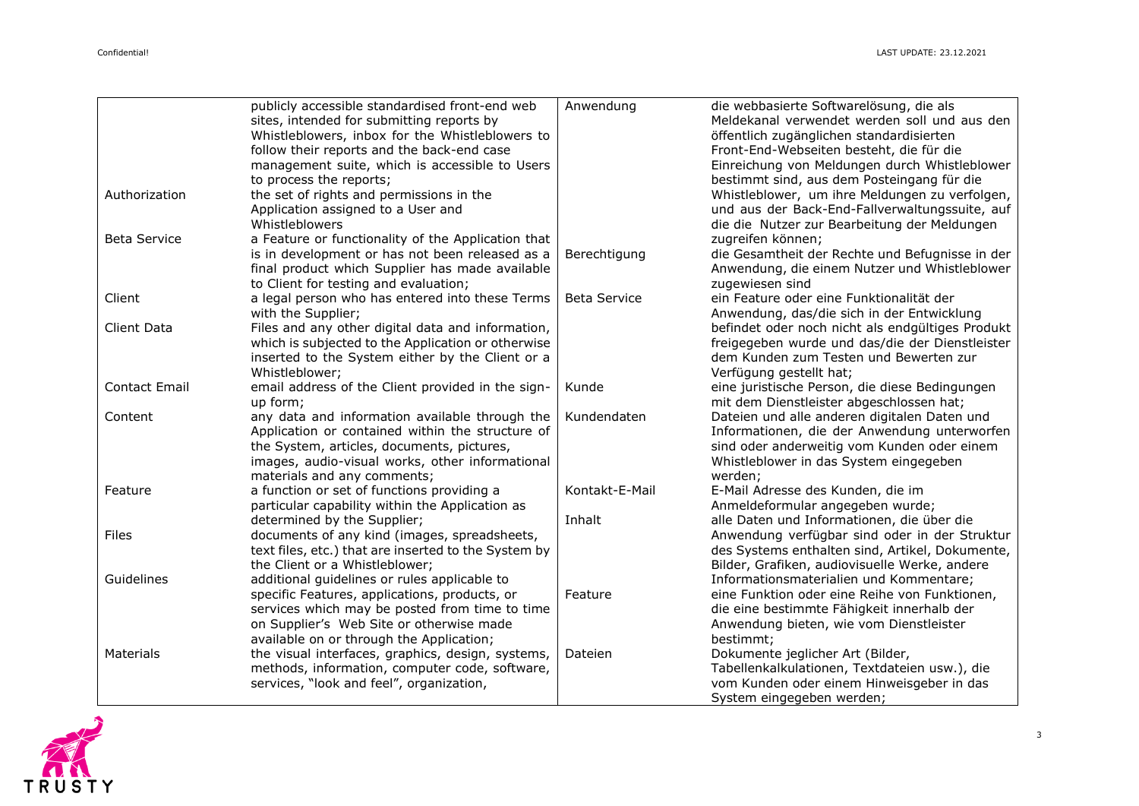|                      | publicly accessible standardised front-end web       | Anwendung           | die webbasierte Softwarelösung, die als          |
|----------------------|------------------------------------------------------|---------------------|--------------------------------------------------|
|                      | sites, intended for submitting reports by            |                     | Meldekanal verwendet werden soll und aus den     |
|                      | Whistleblowers, inbox for the Whistleblowers to      |                     | öffentlich zugänglichen standardisierten         |
|                      | follow their reports and the back-end case           |                     | Front-End-Webseiten besteht, die für die         |
|                      | management suite, which is accessible to Users       |                     | Einreichung von Meldungen durch Whistleblower    |
|                      | to process the reports;                              |                     | bestimmt sind, aus dem Posteingang für die       |
| Authorization        | the set of rights and permissions in the             |                     | Whistleblower, um ihre Meldungen zu verfolgen,   |
|                      | Application assigned to a User and                   |                     | und aus der Back-End-Fallverwaltungssuite, auf   |
|                      | Whistleblowers                                       |                     | die die Nutzer zur Bearbeitung der Meldungen     |
| <b>Beta Service</b>  | a Feature or functionality of the Application that   |                     | zugreifen können;                                |
|                      | is in development or has not been released as a      | Berechtigung        | die Gesamtheit der Rechte und Befugnisse in der  |
|                      | final product which Supplier has made available      |                     | Anwendung, die einem Nutzer und Whistleblower    |
|                      | to Client for testing and evaluation;                |                     | zugewiesen sind                                  |
| Client               | a legal person who has entered into these Terms      | <b>Beta Service</b> | ein Feature oder eine Funktionalität der         |
|                      | with the Supplier;                                   |                     | Anwendung, das/die sich in der Entwicklung       |
| Client Data          | Files and any other digital data and information,    |                     | befindet oder noch nicht als endgültiges Produkt |
|                      | which is subjected to the Application or otherwise   |                     | freigegeben wurde und das/die der Dienstleister  |
|                      | inserted to the System either by the Client or a     |                     | dem Kunden zum Testen und Bewerten zur           |
|                      | Whistleblower;                                       |                     | Verfügung gestellt hat;                          |
| <b>Contact Email</b> | email address of the Client provided in the sign-    | Kunde               | eine juristische Person, die diese Bedingungen   |
|                      | up form;                                             |                     | mit dem Dienstleister abgeschlossen hat;         |
| Content              | any data and information available through the       | Kundendaten         | Dateien und alle anderen digitalen Daten und     |
|                      | Application or contained within the structure of     |                     | Informationen, die der Anwendung unterworfen     |
|                      | the System, articles, documents, pictures,           |                     | sind oder anderweitig vom Kunden oder einem      |
|                      | images, audio-visual works, other informational      |                     | Whistleblower in das System eingegeben           |
|                      | materials and any comments;                          |                     | werden;                                          |
| Feature              | a function or set of functions providing a           | Kontakt-E-Mail      | E-Mail Adresse des Kunden, die im                |
|                      | particular capability within the Application as      |                     | Anmeldeformular angegeben wurde;                 |
|                      | determined by the Supplier;                          | Inhalt              | alle Daten und Informationen, die über die       |
| Files                | documents of any kind (images, spreadsheets,         |                     | Anwendung verfügbar sind oder in der Struktur    |
|                      | text files, etc.) that are inserted to the System by |                     | des Systems enthalten sind, Artikel, Dokumente,  |
|                      | the Client or a Whistleblower;                       |                     | Bilder, Grafiken, audiovisuelle Werke, andere    |
| Guidelines           | additional guidelines or rules applicable to         |                     | Informationsmaterialien und Kommentare;          |
|                      | specific Features, applications, products, or        | Feature             | eine Funktion oder eine Reihe von Funktionen,    |
|                      | services which may be posted from time to time       |                     | die eine bestimmte Fähigkeit innerhalb der       |
|                      | on Supplier's Web Site or otherwise made             |                     | Anwendung bieten, wie vom Dienstleister          |
|                      | available on or through the Application;             |                     | bestimmt;                                        |
| Materials            | the visual interfaces, graphics, design, systems,    | Dateien             | Dokumente jeglicher Art (Bilder,                 |
|                      | methods, information, computer code, software,       |                     | Tabellenkalkulationen, Textdateien usw.), die    |
|                      | services, "look and feel", organization,             |                     | vom Kunden oder einem Hinweisgeber in das        |
|                      |                                                      |                     | System eingegeben werden;                        |

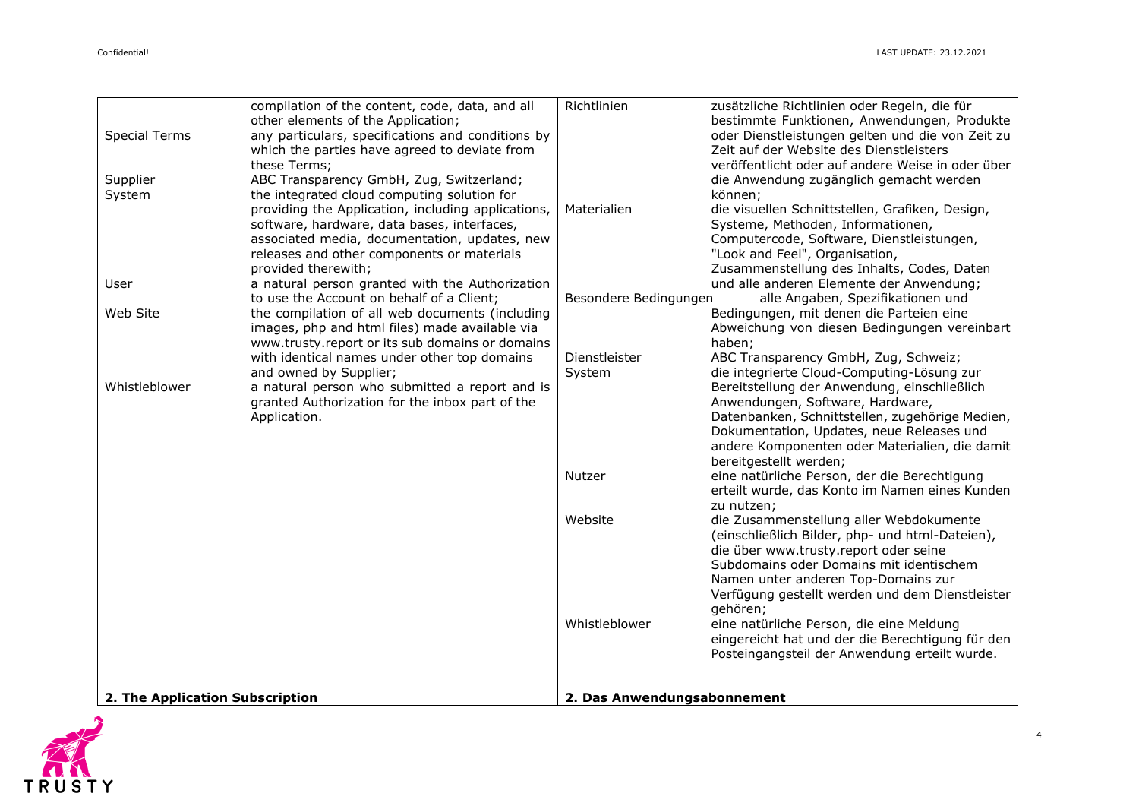|                                 | compilation of the content, code, data, and all    | Richtlinien                 | zusätzliche Richtlinien oder Regeln, die für          |
|---------------------------------|----------------------------------------------------|-----------------------------|-------------------------------------------------------|
|                                 | other elements of the Application;                 |                             | bestimmte Funktionen, Anwendungen, Produkte           |
| <b>Special Terms</b>            | any particulars, specifications and conditions by  |                             | oder Dienstleistungen gelten und die von Zeit zu      |
|                                 | which the parties have agreed to deviate from      |                             | Zeit auf der Website des Dienstleisters               |
|                                 | these Terms;                                       |                             | veröffentlicht oder auf andere Weise in oder über     |
| Supplier                        | ABC Transparency GmbH, Zug, Switzerland;           |                             | die Anwendung zugänglich gemacht werden               |
| System                          | the integrated cloud computing solution for        |                             | können;                                               |
|                                 | providing the Application, including applications, | Materialien                 | die visuellen Schnittstellen, Grafiken, Design,       |
|                                 | software, hardware, data bases, interfaces,        |                             | Systeme, Methoden, Informationen,                     |
|                                 | associated media, documentation, updates, new      |                             | Computercode, Software, Dienstleistungen,             |
|                                 | releases and other components or materials         |                             | "Look and Feel", Organisation,                        |
|                                 | provided therewith;                                |                             | Zusammenstellung des Inhalts, Codes, Daten            |
| User                            | a natural person granted with the Authorization    |                             | und alle anderen Elemente der Anwendung;              |
|                                 | to use the Account on behalf of a Client;          | Besondere Bedingungen       | alle Angaben, Spezifikationen und                     |
| Web Site                        | the compilation of all web documents (including    |                             | Bedingungen, mit denen die Parteien eine              |
|                                 | images, php and html files) made available via     |                             | Abweichung von diesen Bedingungen vereinbart          |
|                                 | www.trusty.report or its sub domains or domains    |                             | haben;                                                |
|                                 | with identical names under other top domains       | Dienstleister               | ABC Transparency GmbH, Zug, Schweiz;                  |
|                                 | and owned by Supplier;                             | System                      | die integrierte Cloud-Computing-Lösung zur            |
| Whistleblower                   | a natural person who submitted a report and is     |                             | Bereitstellung der Anwendung, einschließlich          |
|                                 | granted Authorization for the inbox part of the    |                             | Anwendungen, Software, Hardware,                      |
|                                 | Application.                                       |                             | Datenbanken, Schnittstellen, zugehörige Medien,       |
|                                 |                                                    |                             | Dokumentation, Updates, neue Releases und             |
|                                 |                                                    |                             | andere Komponenten oder Materialien, die damit        |
|                                 |                                                    |                             | bereitgestellt werden;                                |
|                                 |                                                    | Nutzer                      | eine natürliche Person, der die Berechtigung          |
|                                 |                                                    |                             | erteilt wurde, das Konto im Namen eines Kunden        |
|                                 |                                                    | Website                     | zu nutzen;<br>die Zusammenstellung aller Webdokumente |
|                                 |                                                    |                             | (einschließlich Bilder, php- und html-Dateien),       |
|                                 |                                                    |                             | die über www.trusty.report oder seine                 |
|                                 |                                                    |                             | Subdomains oder Domains mit identischem               |
|                                 |                                                    |                             | Namen unter anderen Top-Domains zur                   |
|                                 |                                                    |                             | Verfügung gestellt werden und dem Dienstleister       |
|                                 |                                                    |                             | gehören;                                              |
|                                 |                                                    | Whistleblower               | eine natürliche Person, die eine Meldung              |
|                                 |                                                    |                             | eingereicht hat und der die Berechtigung für den      |
|                                 |                                                    |                             | Posteingangsteil der Anwendung erteilt wurde.         |
|                                 |                                                    |                             |                                                       |
|                                 |                                                    |                             |                                                       |
| 2. The Application Subscription |                                                    | 2. Das Anwendungsabonnement |                                                       |

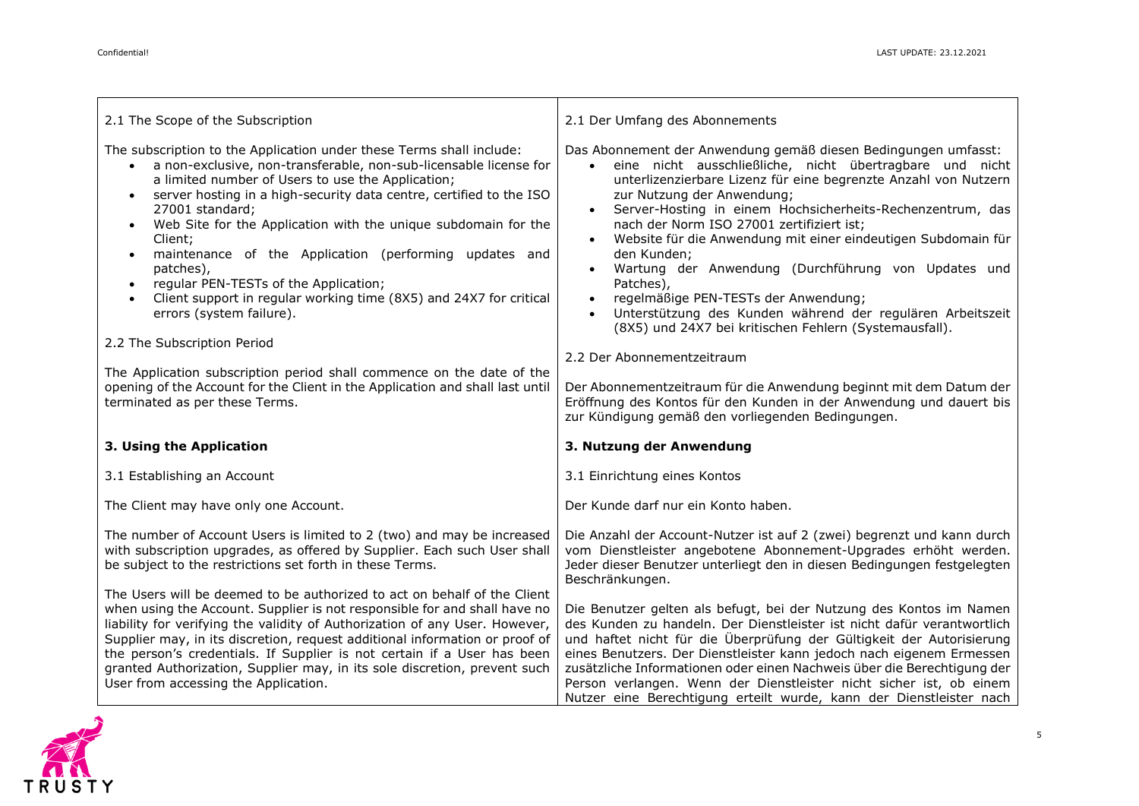| 2.1 The Scope of the Subscription                                                                                                                                                                                                                                                                                                                                                                                                                                                                                                                                                                                                                                                                                                                                                                                                            | 2.1 Der Umfang des Abonnements                                                                                                                                                                                                                                                                                                                                                                                                                                                                                                                                                                                                                                                                                                                                                                                                                                                                          |
|----------------------------------------------------------------------------------------------------------------------------------------------------------------------------------------------------------------------------------------------------------------------------------------------------------------------------------------------------------------------------------------------------------------------------------------------------------------------------------------------------------------------------------------------------------------------------------------------------------------------------------------------------------------------------------------------------------------------------------------------------------------------------------------------------------------------------------------------|---------------------------------------------------------------------------------------------------------------------------------------------------------------------------------------------------------------------------------------------------------------------------------------------------------------------------------------------------------------------------------------------------------------------------------------------------------------------------------------------------------------------------------------------------------------------------------------------------------------------------------------------------------------------------------------------------------------------------------------------------------------------------------------------------------------------------------------------------------------------------------------------------------|
| The subscription to the Application under these Terms shall include:<br>a non-exclusive, non-transferable, non-sub-licensable license for<br>a limited number of Users to use the Application;<br>server hosting in a high-security data centre, certified to the ISO<br>27001 standard;<br>Web Site for the Application with the unique subdomain for the<br>$\bullet$<br>Client;<br>maintenance of the Application (performing updates and<br>patches),<br>regular PEN-TESTs of the Application;<br>$\bullet$<br>Client support in regular working time (8X5) and 24X7 for critical<br>errors (system failure).<br>2.2 The Subscription Period<br>The Application subscription period shall commence on the date of the<br>opening of the Account for the Client in the Application and shall last until<br>terminated as per these Terms. | Das Abonnement der Anwendung gemäß diesen Bedingungen umfasst:<br>eine nicht ausschließliche, nicht übertragbare und nicht<br>$\bullet$<br>unterlizenzierbare Lizenz für eine begrenzte Anzahl von Nutzern<br>zur Nutzung der Anwendung;<br>Server-Hosting in einem Hochsicherheits-Rechenzentrum, das<br>nach der Norm ISO 27001 zertifiziert ist;<br>Website für die Anwendung mit einer eindeutigen Subdomain für<br>den Kunden;<br>Wartung der Anwendung (Durchführung von Updates und<br>Patches),<br>regelmäßige PEN-TESTs der Anwendung;<br>Unterstützung des Kunden während der regulären Arbeitszeit<br>(8X5) und 24X7 bei kritischen Fehlern (Systemausfall).<br>2.2 Der Abonnementzeitraum<br>Der Abonnementzeitraum für die Anwendung beginnt mit dem Datum der<br>Eröffnung des Kontos für den Kunden in der Anwendung und dauert bis<br>zur Kündigung gemäß den vorliegenden Bedingungen. |
| 3. Using the Application                                                                                                                                                                                                                                                                                                                                                                                                                                                                                                                                                                                                                                                                                                                                                                                                                     | 3. Nutzung der Anwendung                                                                                                                                                                                                                                                                                                                                                                                                                                                                                                                                                                                                                                                                                                                                                                                                                                                                                |
| 3.1 Establishing an Account                                                                                                                                                                                                                                                                                                                                                                                                                                                                                                                                                                                                                                                                                                                                                                                                                  | 3.1 Einrichtung eines Kontos                                                                                                                                                                                                                                                                                                                                                                                                                                                                                                                                                                                                                                                                                                                                                                                                                                                                            |
| The Client may have only one Account.                                                                                                                                                                                                                                                                                                                                                                                                                                                                                                                                                                                                                                                                                                                                                                                                        | Der Kunde darf nur ein Konto haben.                                                                                                                                                                                                                                                                                                                                                                                                                                                                                                                                                                                                                                                                                                                                                                                                                                                                     |
| The number of Account Users is limited to 2 (two) and may be increased<br>with subscription upgrades, as offered by Supplier. Each such User shall<br>be subject to the restrictions set forth in these Terms.                                                                                                                                                                                                                                                                                                                                                                                                                                                                                                                                                                                                                               | Die Anzahl der Account-Nutzer ist auf 2 (zwei) begrenzt und kann durch<br>vom Dienstleister angebotene Abonnement-Upgrades erhöht werden.<br>Jeder dieser Benutzer unterliegt den in diesen Bedingungen festgelegten<br>Beschränkungen.                                                                                                                                                                                                                                                                                                                                                                                                                                                                                                                                                                                                                                                                 |
| The Users will be deemed to be authorized to act on behalf of the Client<br>when using the Account. Supplier is not responsible for and shall have no<br>liability for verifying the validity of Authorization of any User. However,<br>Supplier may, in its discretion, request additional information or proof of<br>the person's credentials. If Supplier is not certain if a User has been<br>granted Authorization, Supplier may, in its sole discretion, prevent such<br>User from accessing the Application.                                                                                                                                                                                                                                                                                                                          | Die Benutzer gelten als befugt, bei der Nutzung des Kontos im Namen<br>des Kunden zu handeln. Der Dienstleister ist nicht dafür verantwortlich<br>und haftet nicht für die Überprüfung der Gültigkeit der Autorisierung<br>eines Benutzers. Der Dienstleister kann jedoch nach eigenem Ermessen<br>zusätzliche Informationen oder einen Nachweis über die Berechtigung der<br>Person verlangen. Wenn der Dienstleister nicht sicher ist, ob einem<br>Nutzer eine Berechtigung erteilt wurde, kann der Dienstleister nach                                                                                                                                                                                                                                                                                                                                                                                |

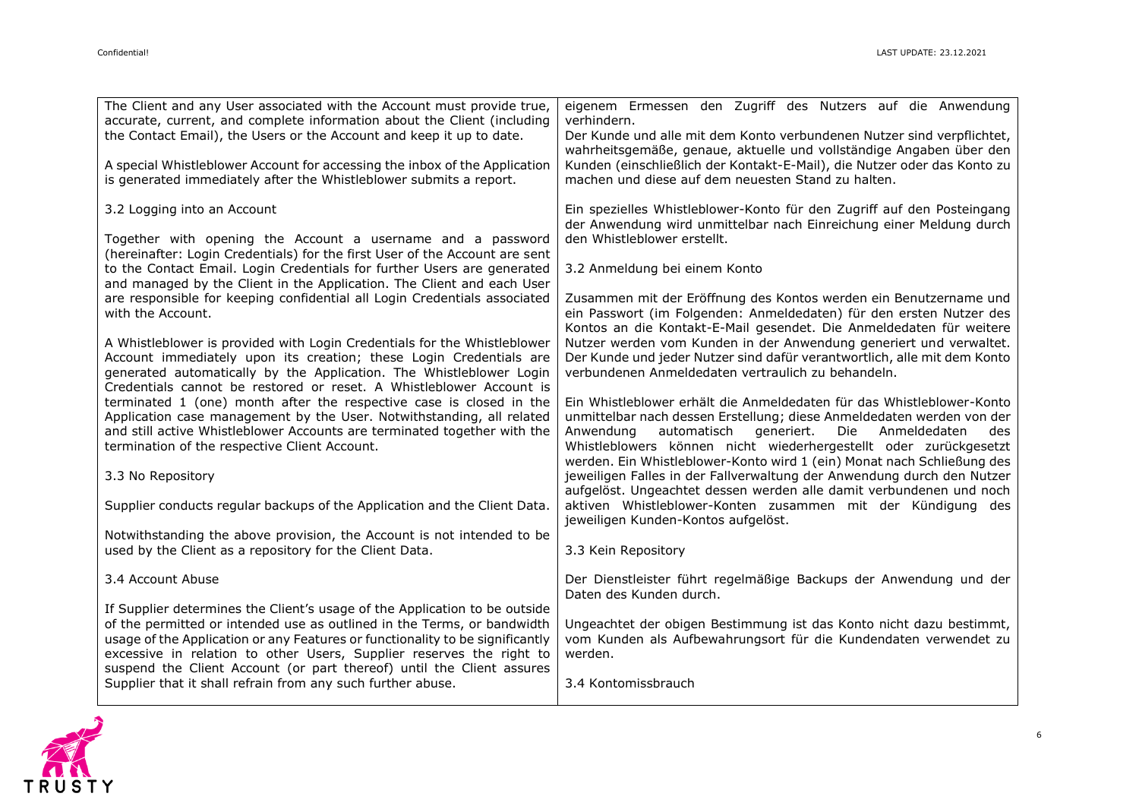| The Client and any User associated with the Account must provide true,<br>accurate, current, and complete information about the Client (including<br>the Contact Email), the Users or the Account and keep it up to date.                                                                                                                                                               | eigenem Ermessen den Zugriff des Nutzers auf die Anwendung<br>verhindern.<br>Der Kunde und alle mit dem Konto verbundenen Nutzer sind verpflichtet,                                                                                                                                                                                                                  |
|-----------------------------------------------------------------------------------------------------------------------------------------------------------------------------------------------------------------------------------------------------------------------------------------------------------------------------------------------------------------------------------------|----------------------------------------------------------------------------------------------------------------------------------------------------------------------------------------------------------------------------------------------------------------------------------------------------------------------------------------------------------------------|
| A special Whistleblower Account for accessing the inbox of the Application<br>is generated immediately after the Whistleblower submits a report.                                                                                                                                                                                                                                        | wahrheitsgemäße, genaue, aktuelle und vollständige Angaben über den<br>Kunden (einschließlich der Kontakt-E-Mail), die Nutzer oder das Konto zu<br>machen und diese auf dem neuesten Stand zu halten.                                                                                                                                                                |
| 3.2 Logging into an Account<br>Together with opening the Account a username and a password                                                                                                                                                                                                                                                                                              | Ein spezielles Whistleblower-Konto für den Zugriff auf den Posteingang<br>der Anwendung wird unmittelbar nach Einreichung einer Meldung durch<br>den Whistleblower erstellt.                                                                                                                                                                                         |
| (hereinafter: Login Credentials) for the first User of the Account are sent<br>to the Contact Email. Login Credentials for further Users are generated<br>and managed by the Client in the Application. The Client and each User                                                                                                                                                        | 3.2 Anmeldung bei einem Konto                                                                                                                                                                                                                                                                                                                                        |
| are responsible for keeping confidential all Login Credentials associated<br>with the Account.                                                                                                                                                                                                                                                                                          | Zusammen mit der Eröffnung des Kontos werden ein Benutzername und<br>ein Passwort (im Folgenden: Anmeldedaten) für den ersten Nutzer des<br>Kontos an die Kontakt-E-Mail gesendet. Die Anmeldedaten für weitere                                                                                                                                                      |
| A Whistleblower is provided with Login Credentials for the Whistleblower<br>Account immediately upon its creation; these Login Credentials are<br>generated automatically by the Application. The Whistleblower Login<br>Credentials cannot be restored or reset. A Whistleblower Account is                                                                                            | Nutzer werden vom Kunden in der Anwendung generiert und verwaltet.<br>Der Kunde und jeder Nutzer sind dafür verantwortlich, alle mit dem Konto<br>verbundenen Anmeldedaten vertraulich zu behandeln.                                                                                                                                                                 |
| terminated 1 (one) month after the respective case is closed in the<br>Application case management by the User. Notwithstanding, all related<br>and still active Whistleblower Accounts are terminated together with the<br>termination of the respective Client Account.                                                                                                               | Ein Whistleblower erhält die Anmeldedaten für das Whistleblower-Konto<br>unmittelbar nach dessen Erstellung; diese Anmeldedaten werden von der<br>Anwendung<br>automatisch<br>generiert.<br>Die<br>Anmeldedaten<br>des<br>Whistleblowers können nicht wiederhergestellt oder zurückgesetzt<br>werden. Ein Whistleblower-Konto wird 1 (ein) Monat nach Schließung des |
| 3.3 No Repository                                                                                                                                                                                                                                                                                                                                                                       | jeweiligen Falles in der Fallverwaltung der Anwendung durch den Nutzer<br>aufgelöst. Ungeachtet dessen werden alle damit verbundenen und noch                                                                                                                                                                                                                        |
| Supplier conducts regular backups of the Application and the Client Data.                                                                                                                                                                                                                                                                                                               | aktiven Whistleblower-Konten zusammen mit der Kündigung des<br>jeweiligen Kunden-Kontos aufgelöst.                                                                                                                                                                                                                                                                   |
| Notwithstanding the above provision, the Account is not intended to be<br>used by the Client as a repository for the Client Data.                                                                                                                                                                                                                                                       | 3.3 Kein Repository                                                                                                                                                                                                                                                                                                                                                  |
| 3.4 Account Abuse                                                                                                                                                                                                                                                                                                                                                                       | Der Dienstleister führt regelmäßige Backups der Anwendung und der<br>Daten des Kunden durch.                                                                                                                                                                                                                                                                         |
| If Supplier determines the Client's usage of the Application to be outside<br>of the permitted or intended use as outlined in the Terms, or bandwidth<br>usage of the Application or any Features or functionality to be significantly<br>excessive in relation to other Users, Supplier reserves the right to<br>suspend the Client Account (or part thereof) until the Client assures | Ungeachtet der obigen Bestimmung ist das Konto nicht dazu bestimmt,<br>vom Kunden als Aufbewahrungsort für die Kundendaten verwendet zu<br>werden.                                                                                                                                                                                                                   |
| Supplier that it shall refrain from any such further abuse.                                                                                                                                                                                                                                                                                                                             | 3.4 Kontomissbrauch                                                                                                                                                                                                                                                                                                                                                  |

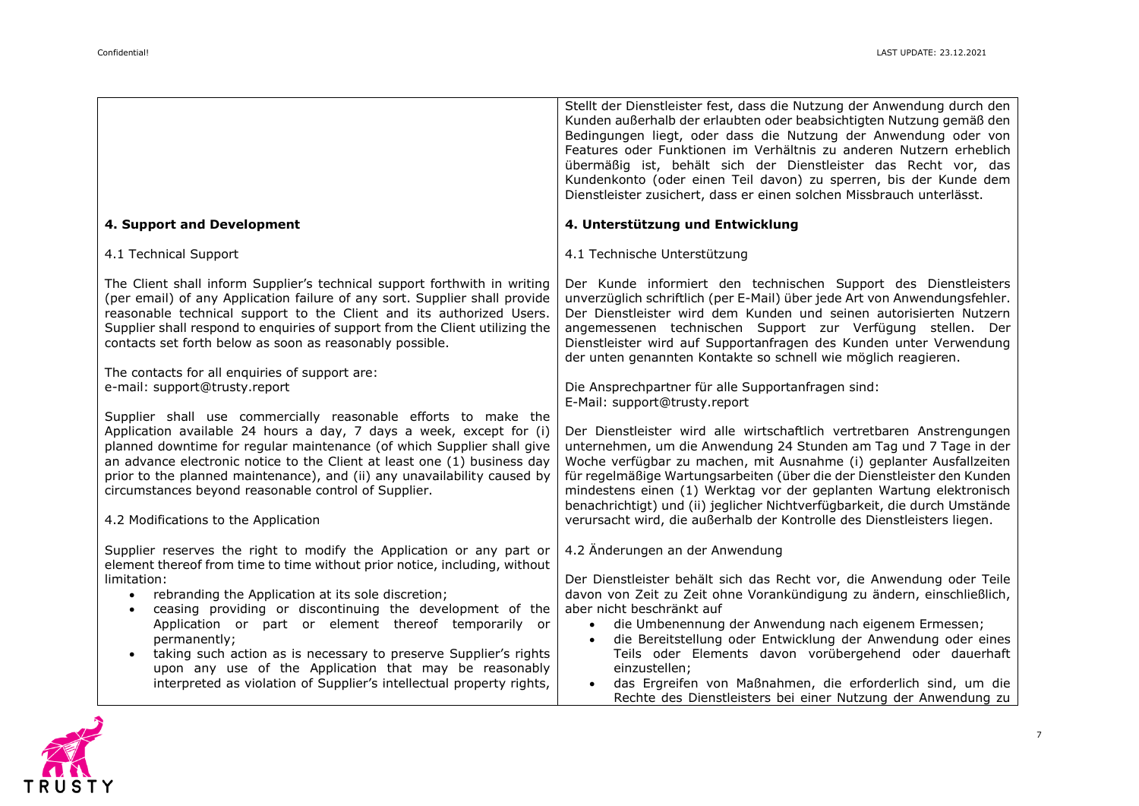|                                                                                                                                                                                                                                                                                                                                                                                                                                                                                                                                    | Stellt der Dienstleister fest, dass die Nutzung der Anwendung durch den<br>Kunden außerhalb der erlaubten oder beabsichtigten Nutzung gemäß den<br>Bedingungen liegt, oder dass die Nutzung der Anwendung oder von<br>Features oder Funktionen im Verhältnis zu anderen Nutzern erheblich<br>übermäßig ist, behält sich der Dienstleister das Recht vor, das<br>Kundenkonto (oder einen Teil davon) zu sperren, bis der Kunde dem<br>Dienstleister zusichert, dass er einen solchen Missbrauch unterlässt.                             |
|------------------------------------------------------------------------------------------------------------------------------------------------------------------------------------------------------------------------------------------------------------------------------------------------------------------------------------------------------------------------------------------------------------------------------------------------------------------------------------------------------------------------------------|----------------------------------------------------------------------------------------------------------------------------------------------------------------------------------------------------------------------------------------------------------------------------------------------------------------------------------------------------------------------------------------------------------------------------------------------------------------------------------------------------------------------------------------|
| 4. Support and Development                                                                                                                                                                                                                                                                                                                                                                                                                                                                                                         | 4. Unterstützung und Entwicklung                                                                                                                                                                                                                                                                                                                                                                                                                                                                                                       |
| 4.1 Technical Support                                                                                                                                                                                                                                                                                                                                                                                                                                                                                                              | 4.1 Technische Unterstützung                                                                                                                                                                                                                                                                                                                                                                                                                                                                                                           |
| The Client shall inform Supplier's technical support forthwith in writing<br>(per email) of any Application failure of any sort. Supplier shall provide<br>reasonable technical support to the Client and its authorized Users.<br>Supplier shall respond to enquiries of support from the Client utilizing the<br>contacts set forth below as soon as reasonably possible.                                                                                                                                                        | Der Kunde informiert den technischen Support des Dienstleisters<br>unverzüglich schriftlich (per E-Mail) über jede Art von Anwendungsfehler.<br>Der Dienstleister wird dem Kunden und seinen autorisierten Nutzern<br>angemessenen technischen Support zur Verfügung stellen. Der<br>Dienstleister wird auf Supportanfragen des Kunden unter Verwendung<br>der unten genannten Kontakte so schnell wie möglich reagieren.                                                                                                              |
| The contacts for all enquiries of support are:<br>e-mail: support@trusty.report                                                                                                                                                                                                                                                                                                                                                                                                                                                    | Die Ansprechpartner für alle Supportanfragen sind:<br>E-Mail: support@trusty.report                                                                                                                                                                                                                                                                                                                                                                                                                                                    |
| Supplier shall use commercially reasonable efforts to make the<br>Application available 24 hours a day, 7 days a week, except for (i)<br>planned downtime for regular maintenance (of which Supplier shall give<br>an advance electronic notice to the Client at least one (1) business day<br>prior to the planned maintenance), and (ii) any unavailability caused by<br>circumstances beyond reasonable control of Supplier.<br>4.2 Modifications to the Application                                                            | Der Dienstleister wird alle wirtschaftlich vertretbaren Anstrengungen<br>unternehmen, um die Anwendung 24 Stunden am Tag und 7 Tage in der<br>Woche verfügbar zu machen, mit Ausnahme (i) geplanter Ausfallzeiten<br>für regelmäßige Wartungsarbeiten (über die der Dienstleister den Kunden<br>mindestens einen (1) Werktag vor der geplanten Wartung elektronisch<br>benachrichtigt) und (ii) jeglicher Nichtverfügbarkeit, die durch Umstände<br>verursacht wird, die außerhalb der Kontrolle des Dienstleisters liegen.            |
| Supplier reserves the right to modify the Application or any part or                                                                                                                                                                                                                                                                                                                                                                                                                                                               | 4.2 Änderungen an der Anwendung                                                                                                                                                                                                                                                                                                                                                                                                                                                                                                        |
| element thereof from time to time without prior notice, including, without<br>limitation:<br>rebranding the Application at its sole discretion;<br>$\bullet$<br>ceasing providing or discontinuing the development of the<br>$\bullet$<br>Application or part or element thereof temporarily or<br>permanently;<br>taking such action as is necessary to preserve Supplier's rights<br>$\bullet$<br>upon any use of the Application that may be reasonably<br>interpreted as violation of Supplier's intellectual property rights, | Der Dienstleister behält sich das Recht vor, die Anwendung oder Teile<br>davon von Zeit zu Zeit ohne Vorankündigung zu ändern, einschließlich,<br>aber nicht beschränkt auf<br>die Umbenennung der Anwendung nach eigenem Ermessen;<br>$\bullet$<br>die Bereitstellung oder Entwicklung der Anwendung oder eines<br>Teils oder Elements davon vorübergehend oder dauerhaft<br>einzustellen;<br>das Ergreifen von Maßnahmen, die erforderlich sind, um die<br>$\bullet$<br>Rechte des Dienstleisters bei einer Nutzung der Anwendung zu |

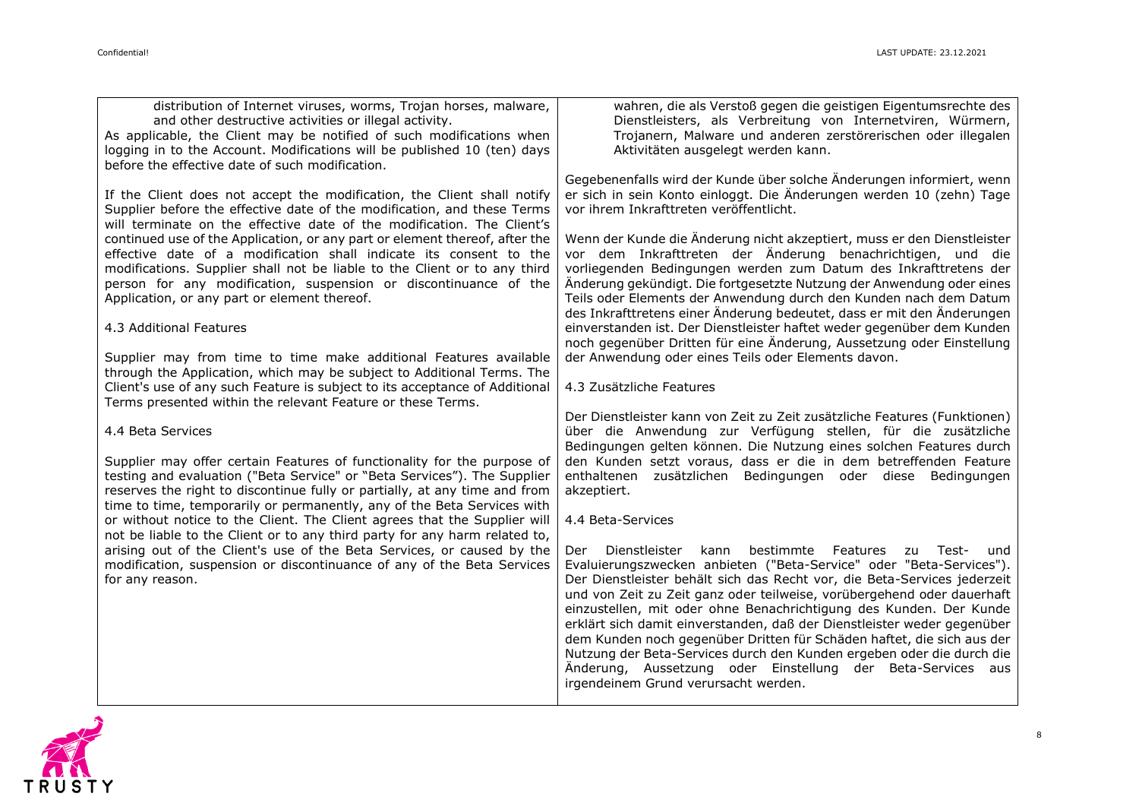| distribution of Internet viruses, worms, Trojan horses, malware,<br>and other destructive activities or illegal activity.<br>As applicable, the Client may be notified of such modifications when<br>logging in to the Account. Modifications will be published 10 (ten) days<br>before the effective date of such modification.                                                                                                                                                                                                                                                                              | wahren, die als Verstoß gegen die geistigen Eigentumsrechte des<br>Dienstleisters, als Verbreitung von Internetviren, Würmern,<br>Trojanern, Malware und anderen zerstörerischen oder illegalen<br>Aktivitäten ausgelegt werden kann.                                                                                                                                                                                                                                                                                                                                                                                                                                                                                                                                             |
|---------------------------------------------------------------------------------------------------------------------------------------------------------------------------------------------------------------------------------------------------------------------------------------------------------------------------------------------------------------------------------------------------------------------------------------------------------------------------------------------------------------------------------------------------------------------------------------------------------------|-----------------------------------------------------------------------------------------------------------------------------------------------------------------------------------------------------------------------------------------------------------------------------------------------------------------------------------------------------------------------------------------------------------------------------------------------------------------------------------------------------------------------------------------------------------------------------------------------------------------------------------------------------------------------------------------------------------------------------------------------------------------------------------|
| If the Client does not accept the modification, the Client shall notify<br>Supplier before the effective date of the modification, and these Terms<br>will terminate on the effective date of the modification. The Client's<br>continued use of the Application, or any part or element thereof, after the<br>effective date of a modification shall indicate its consent to the<br>modifications. Supplier shall not be liable to the Client or to any third<br>person for any modification, suspension or discontinuance of the<br>Application, or any part or element thereof.<br>4.3 Additional Features | Gegebenenfalls wird der Kunde über solche Änderungen informiert, wenn<br>er sich in sein Konto einloggt. Die Änderungen werden 10 (zehn) Tage<br>vor ihrem Inkrafttreten veröffentlicht.<br>Wenn der Kunde die Änderung nicht akzeptiert, muss er den Dienstleister<br>vor dem Inkrafttreten der Änderung benachrichtigen, und die<br>vorliegenden Bedingungen werden zum Datum des Inkrafttretens der<br>Änderung gekündigt. Die fortgesetzte Nutzung der Anwendung oder eines<br>Teils oder Elements der Anwendung durch den Kunden nach dem Datum<br>des Inkrafttretens einer Änderung bedeutet, dass er mit den Änderungen<br>einverstanden ist. Der Dienstleister haftet weder gegenüber dem Kunden<br>noch gegenüber Dritten für eine Änderung, Aussetzung oder Einstellung |
| Supplier may from time to time make additional Features available<br>through the Application, which may be subject to Additional Terms. The<br>Client's use of any such Feature is subject to its acceptance of Additional                                                                                                                                                                                                                                                                                                                                                                                    | der Anwendung oder eines Teils oder Elements davon.<br>4.3 Zusätzliche Features                                                                                                                                                                                                                                                                                                                                                                                                                                                                                                                                                                                                                                                                                                   |
| Terms presented within the relevant Feature or these Terms.<br>4.4 Beta Services                                                                                                                                                                                                                                                                                                                                                                                                                                                                                                                              | Der Dienstleister kann von Zeit zu Zeit zusätzliche Features (Funktionen)<br>über die Anwendung zur Verfügung stellen, für die zusätzliche<br>Bedingungen gelten können. Die Nutzung eines solchen Features durch                                                                                                                                                                                                                                                                                                                                                                                                                                                                                                                                                                 |
| Supplier may offer certain Features of functionality for the purpose of<br>testing and evaluation ("Beta Service" or "Beta Services"). The Supplier<br>reserves the right to discontinue fully or partially, at any time and from<br>time to time, temporarily or permanently, any of the Beta Services with                                                                                                                                                                                                                                                                                                  | den Kunden setzt voraus, dass er die in dem betreffenden Feature<br>enthaltenen zusätzlichen Bedingungen oder diese<br>Bedingungen<br>akzeptiert.                                                                                                                                                                                                                                                                                                                                                                                                                                                                                                                                                                                                                                 |
| or without notice to the Client. The Client agrees that the Supplier will<br>not be liable to the Client or to any third party for any harm related to,                                                                                                                                                                                                                                                                                                                                                                                                                                                       | 4.4 Beta-Services                                                                                                                                                                                                                                                                                                                                                                                                                                                                                                                                                                                                                                                                                                                                                                 |
| arising out of the Client's use of the Beta Services, or caused by the<br>modification, suspension or discontinuance of any of the Beta Services<br>for any reason.                                                                                                                                                                                                                                                                                                                                                                                                                                           | Dienstleister<br>kann<br>bestimmte<br>Der<br>Features<br>Test-<br>zu<br>und<br>Evaluierungszwecken anbieten ("Beta-Service" oder "Beta-Services").<br>Der Dienstleister behält sich das Recht vor, die Beta-Services jederzeit<br>und von Zeit zu Zeit ganz oder teilweise, vorübergehend oder dauerhaft<br>einzustellen, mit oder ohne Benachrichtigung des Kunden. Der Kunde<br>erklärt sich damit einverstanden, daß der Dienstleister weder gegenüber<br>dem Kunden noch gegenüber Dritten für Schäden haftet, die sich aus der<br>Nutzung der Beta-Services durch den Kunden ergeben oder die durch die<br>Änderung, Aussetzung oder Einstellung der Beta-Services aus<br>irgendeinem Grund verursacht werden.                                                               |
|                                                                                                                                                                                                                                                                                                                                                                                                                                                                                                                                                                                                               |                                                                                                                                                                                                                                                                                                                                                                                                                                                                                                                                                                                                                                                                                                                                                                                   |

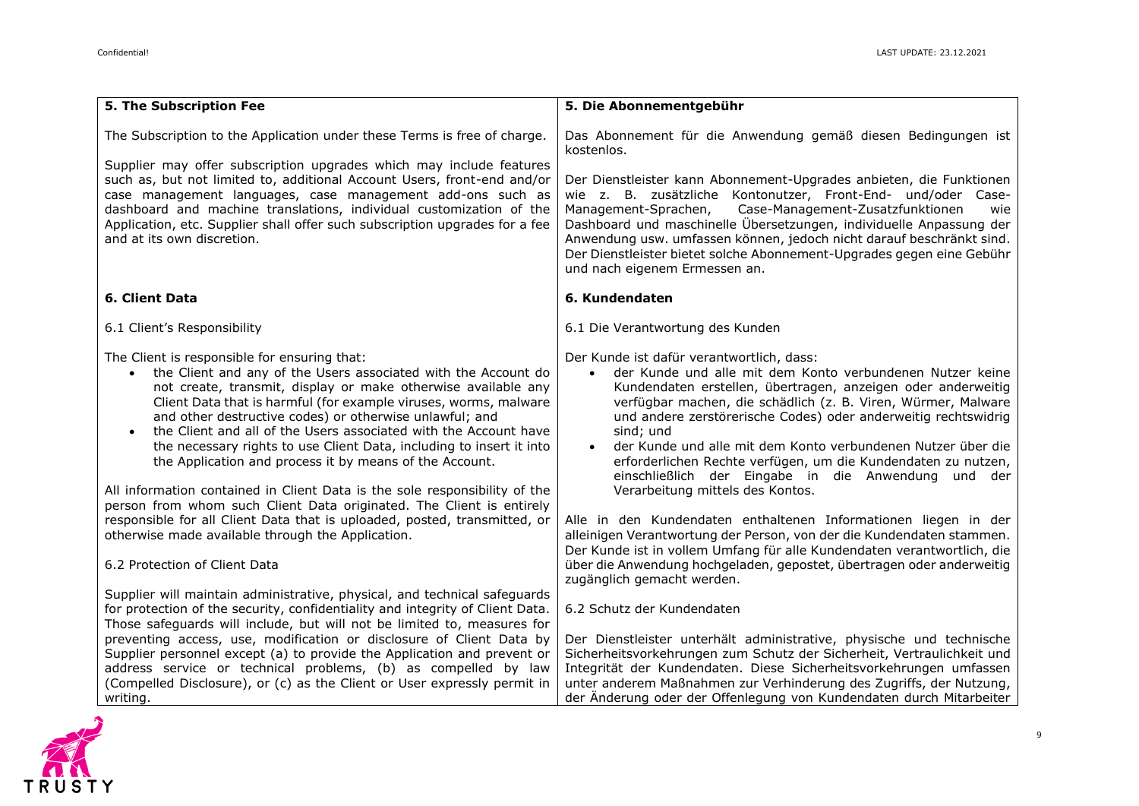| The Subscription to the Application under these Terms is free of charge.<br>kostenlos.<br>Supplier may offer subscription upgrades which may include features<br>such as, but not limited to, additional Account Users, front-end and/or<br>case management languages, case management add-ons such as<br>dashboard and machine translations, individual customization of the<br>Management-Sprachen,<br>Case-Management-Zusatzfunktionen<br>Application, etc. Supplier shall offer such subscription upgrades for a fee<br>and at its own discretion.<br>und nach eigenem Ermessen an.<br>6. Kundendaten<br>6. Client Data<br>6.1 Client's Responsibility<br>6.1 Die Verantwortung des Kunden<br>The Client is responsible for ensuring that:<br>Der Kunde ist dafür verantwortlich, dass:<br>the Client and any of the Users associated with the Account do<br>$\bullet$<br>$\bullet$<br>not create, transmit, display or make otherwise available any<br>Client Data that is harmful (for example viruses, worms, malware<br>and other destructive codes) or otherwise unlawful; and<br>the Client and all of the Users associated with the Account have<br>sind; und<br>the necessary rights to use Client Data, including to insert it into<br>$\bullet$<br>the Application and process it by means of the Account.<br>Verarbeitung mittels des Kontos.<br>All information contained in Client Data is the sole responsibility of the<br>person from whom such Client Data originated. The Client is entirely<br>responsible for all Client Data that is uploaded, posted, transmitted, or<br>otherwise made available through the Application.<br>6.2 Protection of Client Data<br>zugänglich gemacht werden.<br>Supplier will maintain administrative, physical, and technical safeguards<br>for protection of the security, confidentiality and integrity of Client Data.<br>6.2 Schutz der Kundendaten<br>Those safeguards will include, but will not be limited to, measures for<br>preventing access, use, modification or disclosure of Client Data by<br>Supplier personnel except (a) to provide the Application and prevent or<br>address service or technical problems, (b) as compelled by law<br>(Compelled Disclosure), or (c) as the Client or User expressly permit in<br>writing. | <b>5. The Subscription Fee</b> | 5. Die Abonnementgebühr                                                                                                                                                                                                                                                                                                                                                                                                                                                                                                                                                                                                                                                                                                                              |
|---------------------------------------------------------------------------------------------------------------------------------------------------------------------------------------------------------------------------------------------------------------------------------------------------------------------------------------------------------------------------------------------------------------------------------------------------------------------------------------------------------------------------------------------------------------------------------------------------------------------------------------------------------------------------------------------------------------------------------------------------------------------------------------------------------------------------------------------------------------------------------------------------------------------------------------------------------------------------------------------------------------------------------------------------------------------------------------------------------------------------------------------------------------------------------------------------------------------------------------------------------------------------------------------------------------------------------------------------------------------------------------------------------------------------------------------------------------------------------------------------------------------------------------------------------------------------------------------------------------------------------------------------------------------------------------------------------------------------------------------------------------------------------------------------------------------------------------------------------------------------------------------------------------------------------------------------------------------------------------------------------------------------------------------------------------------------------------------------------------------------------------------------------------------------------------------------------------------------------------------------------------------------------------------------------|--------------------------------|------------------------------------------------------------------------------------------------------------------------------------------------------------------------------------------------------------------------------------------------------------------------------------------------------------------------------------------------------------------------------------------------------------------------------------------------------------------------------------------------------------------------------------------------------------------------------------------------------------------------------------------------------------------------------------------------------------------------------------------------------|
|                                                                                                                                                                                                                                                                                                                                                                                                                                                                                                                                                                                                                                                                                                                                                                                                                                                                                                                                                                                                                                                                                                                                                                                                                                                                                                                                                                                                                                                                                                                                                                                                                                                                                                                                                                                                                                                                                                                                                                                                                                                                                                                                                                                                                                                                                                         |                                | Das Abonnement für die Anwendung gemäß diesen Bedingungen ist<br>Der Dienstleister kann Abonnement-Upgrades anbieten, die Funktionen<br>wie z. B. zusätzliche Kontonutzer, Front-End- und/oder Case-<br>wie<br>Dashboard und maschinelle Übersetzungen, individuelle Anpassung der<br>Anwendung usw. umfassen können, jedoch nicht darauf beschränkt sind.<br>Der Dienstleister bietet solche Abonnement-Upgrades gegen eine Gebühr                                                                                                                                                                                                                                                                                                                  |
|                                                                                                                                                                                                                                                                                                                                                                                                                                                                                                                                                                                                                                                                                                                                                                                                                                                                                                                                                                                                                                                                                                                                                                                                                                                                                                                                                                                                                                                                                                                                                                                                                                                                                                                                                                                                                                                                                                                                                                                                                                                                                                                                                                                                                                                                                                         |                                |                                                                                                                                                                                                                                                                                                                                                                                                                                                                                                                                                                                                                                                                                                                                                      |
|                                                                                                                                                                                                                                                                                                                                                                                                                                                                                                                                                                                                                                                                                                                                                                                                                                                                                                                                                                                                                                                                                                                                                                                                                                                                                                                                                                                                                                                                                                                                                                                                                                                                                                                                                                                                                                                                                                                                                                                                                                                                                                                                                                                                                                                                                                         |                                |                                                                                                                                                                                                                                                                                                                                                                                                                                                                                                                                                                                                                                                                                                                                                      |
|                                                                                                                                                                                                                                                                                                                                                                                                                                                                                                                                                                                                                                                                                                                                                                                                                                                                                                                                                                                                                                                                                                                                                                                                                                                                                                                                                                                                                                                                                                                                                                                                                                                                                                                                                                                                                                                                                                                                                                                                                                                                                                                                                                                                                                                                                                         |                                | der Kunde und alle mit dem Konto verbundenen Nutzer keine<br>Kundendaten erstellen, übertragen, anzeigen oder anderweitig<br>verfügbar machen, die schädlich (z. B. Viren, Würmer, Malware<br>und andere zerstörerische Codes) oder anderweitig rechtswidrig<br>der Kunde und alle mit dem Konto verbundenen Nutzer über die<br>erforderlichen Rechte verfügen, um die Kundendaten zu nutzen,<br>einschließlich der Eingabe in die Anwendung und der<br>Alle in den Kundendaten enthaltenen Informationen liegen in der<br>alleinigen Verantwortung der Person, von der die Kundendaten stammen.<br>Der Kunde ist in vollem Umfang für alle Kundendaten verantwortlich, die<br>über die Anwendung hochgeladen, gepostet, übertragen oder anderweitig |
|                                                                                                                                                                                                                                                                                                                                                                                                                                                                                                                                                                                                                                                                                                                                                                                                                                                                                                                                                                                                                                                                                                                                                                                                                                                                                                                                                                                                                                                                                                                                                                                                                                                                                                                                                                                                                                                                                                                                                                                                                                                                                                                                                                                                                                                                                                         |                                |                                                                                                                                                                                                                                                                                                                                                                                                                                                                                                                                                                                                                                                                                                                                                      |
|                                                                                                                                                                                                                                                                                                                                                                                                                                                                                                                                                                                                                                                                                                                                                                                                                                                                                                                                                                                                                                                                                                                                                                                                                                                                                                                                                                                                                                                                                                                                                                                                                                                                                                                                                                                                                                                                                                                                                                                                                                                                                                                                                                                                                                                                                                         |                                | Der Dienstleister unterhält administrative, physische und technische<br>Sicherheitsvorkehrungen zum Schutz der Sicherheit, Vertraulichkeit und<br>Integrität der Kundendaten. Diese Sicherheitsvorkehrungen umfassen<br>unter anderem Maßnahmen zur Verhinderung des Zugriffs, der Nutzung,<br>der Änderung oder der Offenlegung von Kundendaten durch Mitarbeiter                                                                                                                                                                                                                                                                                                                                                                                   |

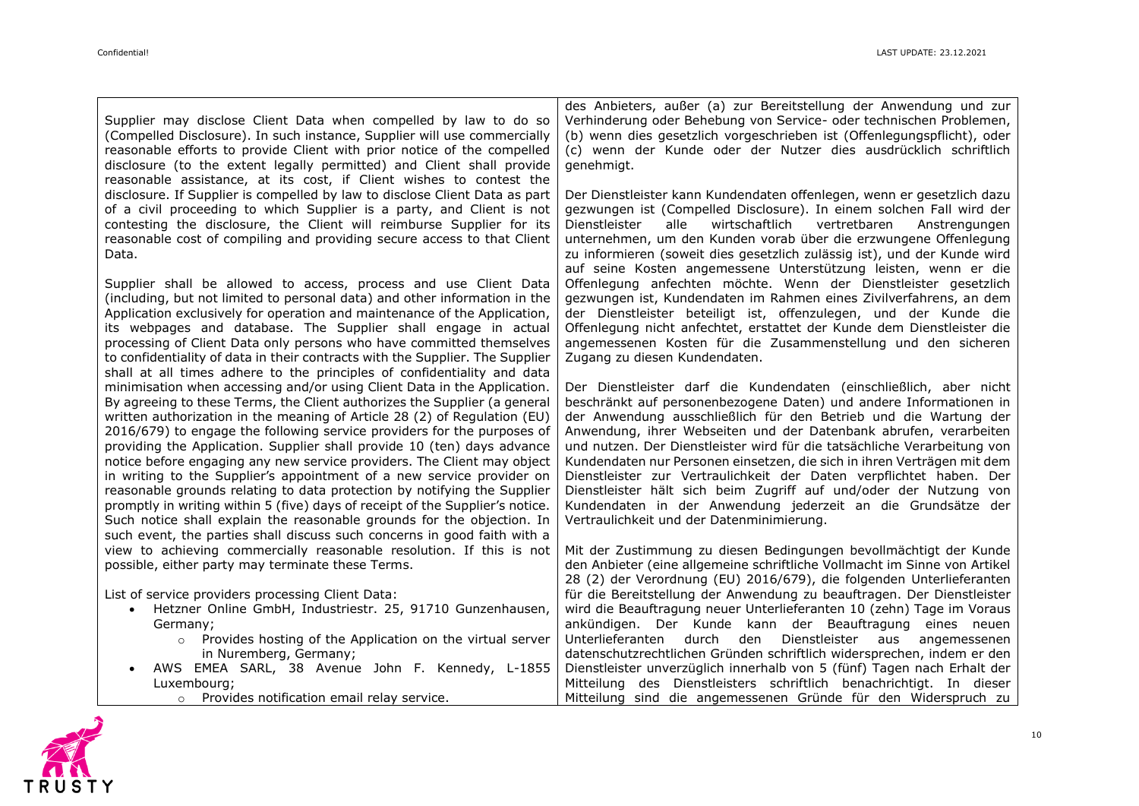Supplier may disclose Client Data when compelled by law to do so (Compelled Disclosure). In such instance, Supplier will use commercially reasonable efforts to provide Client with prior notice of the compelled disclosure (to the extent legally permitted) and Client shall provide reasonable assistance, at its cost, if Client wishes to contest the disclosure. If Supplier is compelled by law to disclose Client Data as part of a civil proceeding to which Supplier is a party, and Client is not contesting the disclosure, the Client will reimburse Supplier for its reasonable cost of compiling and providing secure access to that Client Data.

Supplier shall be allowed to access, process and use Client Data (including, but not limited to personal data) and other information in the Application exclusively for operation and maintenance of the Application, its webpages and database. The Supplier shall engage in actual processing of Client Data only persons who have committed themselves to confidentiality of data in their contracts with the Supplier. The Supplier shall at all times adhere to the principles of confidentiality and data minimisation when accessing and/or using Client Data in the Application. By agreeing to these Terms, the Client authorizes the Supplier (a general written authorization in the meaning of Article 28 (2) of Regulation (EU) 2016/679) to engage the following service providers for the purposes of providing the Application. Supplier shall provide 10 (ten) days advance notice before engaging any new service providers. The Client may object in writing to the Supplier's appointment of a new service provider on reasonable grounds relating to data protection by notifying the Supplier promptly in writing within 5 (five) days of receipt of the Supplier's notice. Such notice shall explain the reasonable grounds for the objection. In such event, the parties shall discuss such concerns in good faith with a view to achieving commercially reasonable resolution. If this is not possible, either party may terminate these Terms.

List of service providers processing Client Data:

- Hetzner Online GmbH, Industriestr. 25, 91710 Gunzenhausen, Germany;
	- o Provides hosting of the Application on the virtual server in Nuremberg, Germany;
- AWS EMEA SARL, 38 Avenue John F. Kennedy, L-1855 Luxembourg;
	- o Provides notification email relay service.

des Anbieters, außer (a) zur Bereitstellung der Anwendung und zur Verhinderung oder Behebung von Service- oder technischen Problemen, (b) wenn dies gesetzlich vorgeschrieben ist (Offenlegungspflicht), oder (c) wenn der Kunde oder der Nutzer dies ausdrücklich schriftlich genehmigt.

Der Dienstleister kann Kundendaten offenlegen, wenn er gesetzlich dazu gezwungen ist (Compelled Disclosure). In einem solchen Fall wird der Dienstleister alle wirtschaftlich vertretbaren Anstrengungen unternehmen, um den Kunden vorab über die erzwungene Offenlegung zu informieren (soweit dies gesetzlich zulässig ist), und der Kunde wird auf seine Kosten angemessene Unterstützung leisten, wenn er die Offenlegung anfechten möchte. Wenn der Dienstleister gesetzlich gezwungen ist, Kundendaten im Rahmen eines Zivilverfahrens, an dem der Dienstleister beteiligt ist, offenzulegen, und der Kunde die Offenlegung nicht anfechtet, erstattet der Kunde dem Dienstleister die angemessenen Kosten für die Zusammenstellung und den sicheren Zugang zu diesen Kundendaten.

Der Dienstleister darf die Kundendaten (einschließlich, aber nicht beschränkt auf personenbezogene Daten) und andere Informationen in der Anwendung ausschließlich für den Betrieb und die Wartung der Anwendung, ihrer Webseiten und der Datenbank abrufen, verarbeiten und nutzen. Der Dienstleister wird für die tatsächliche Verarbeitung von Kundendaten nur Personen einsetzen, die sich in ihren Verträgen mit dem Dienstleister zur Vertraulichkeit der Daten verpflichtet haben. Der Dienstleister hält sich beim Zugriff auf und/oder der Nutzung von Kundendaten in der Anwendung jederzeit an die Grundsätze der Vertraulichkeit und der Datenminimierung.

Mit der Zustimmung zu diesen Bedingungen bevollmächtigt der Kunde den Anbieter (eine allgemeine schriftliche Vollmacht im Sinne von Artikel 28 (2) der Verordnung (EU) 2016/679), die folgenden Unterlieferanten für die Bereitstellung der Anwendung zu beauftragen. Der Dienstleister wird die Beauftragung neuer Unterlieferanten 10 (zehn) Tage im Voraus ankündigen. Der Kunde kann der Beauftragung eines neuen Unterlieferanten durch den Dienstleister aus angemessenen datenschutzrechtlichen Gründen schriftlich widersprechen, indem er den Dienstleister unverzüglich innerhalb von 5 (fünf) Tagen nach Erhalt der Mitteilung des Dienstleisters schriftlich benachrichtigt. In dieser Mitteilung sind die angemessenen Gründe für den Widerspruch zu

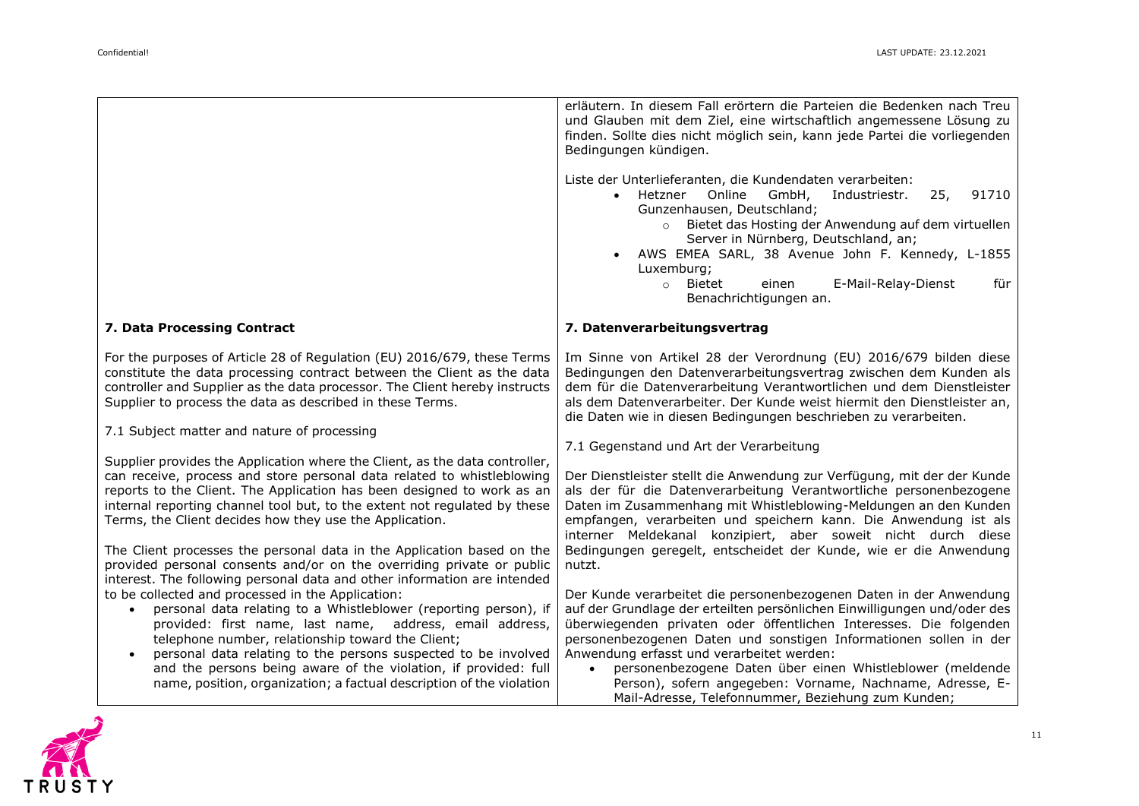erläutern. In diesem Fall erörtern die Parteien die Bedenken nach Treu und Glauben mit dem Ziel, eine wirtschaftlich angemessene Lösung zu

#### **7. Data Processing Contract** For the purposes of Article 28 of Regulation (EU) 2016/679, these Terms constitute the data processing contract between the Client as the data controller and Supplier as the data processor. The Client hereby instructs Supplier to process the data as described in these Terms. 7.1 Subject matter and nature of processing Supplier provides the Application where the Client, as the data controller, can receive, process and store personal data related to whistleblowing reports to the Client. The Application has been designed to work as an internal reporting channel tool but, to the extent not regulated by these Terms, the Client decides how they use the Application. The Client processes the personal data in the Application based on the provided personal consents and/or on the overriding private or public interest. The following personal data and other information are intended to be collected and processed in the Application: • personal data relating to a Whistleblower (reporting person), if provided: first name, last name, address, email address, telephone number, relationship toward the Client; • personal data relating to the persons suspected to be involved and the persons being aware of the violation, if provided: full name, position, organization; a factual description of the violation finden. Sollte dies nicht möglich sein, kann jede Partei die vorliegenden Bedingungen kündigen. Liste der Unterlieferanten, die Kundendaten verarbeiten: • Hetzner Online GmbH, Industriestr. 25, 91710 Gunzenhausen, Deutschland; o Bietet das Hosting der Anwendung auf dem virtuellen Server in Nürnberg, Deutschland, an; • AWS EMEA SARL, 38 Avenue John F. Kennedy, L-1855 Luxemburg; o Bietet einen E-Mail-Relay-Dienst für Benachrichtigungen an. **7. Datenverarbeitungsvertrag** Im Sinne von Artikel 28 der Verordnung (EU) 2016/679 bilden diese Bedingungen den Datenverarbeitungsvertrag zwischen dem Kunden als dem für die Datenverarbeitung Verantwortlichen und dem Dienstleister als dem Datenverarbeiter. Der Kunde weist hiermit den Dienstleister an, die Daten wie in diesen Bedingungen beschrieben zu verarbeiten. 7.1 Gegenstand und Art der Verarbeitung Der Dienstleister stellt die Anwendung zur Verfügung, mit der der Kunde als der für die Datenverarbeitung Verantwortliche personenbezogene Daten im Zusammenhang mit Whistleblowing-Meldungen an den Kunden empfangen, verarbeiten und speichern kann. Die Anwendung ist als interner Meldekanal konzipiert, aber soweit nicht durch diese Bedingungen geregelt, entscheidet der Kunde, wie er die Anwendung nutzt. Der Kunde verarbeitet die personenbezogenen Daten in der Anwendung auf der Grundlage der erteilten persönlichen Einwilligungen und/oder des überwiegenden privaten oder öffentlichen Interesses. Die folgenden personenbezogenen Daten und sonstigen Informationen sollen in der Anwendung erfasst und verarbeitet werden: • personenbezogene Daten über einen Whistleblower (meldende Person), sofern angegeben: Vorname, Nachname, Adresse, E-Mail-Adresse, Telefonnummer, Beziehung zum Kunden;



11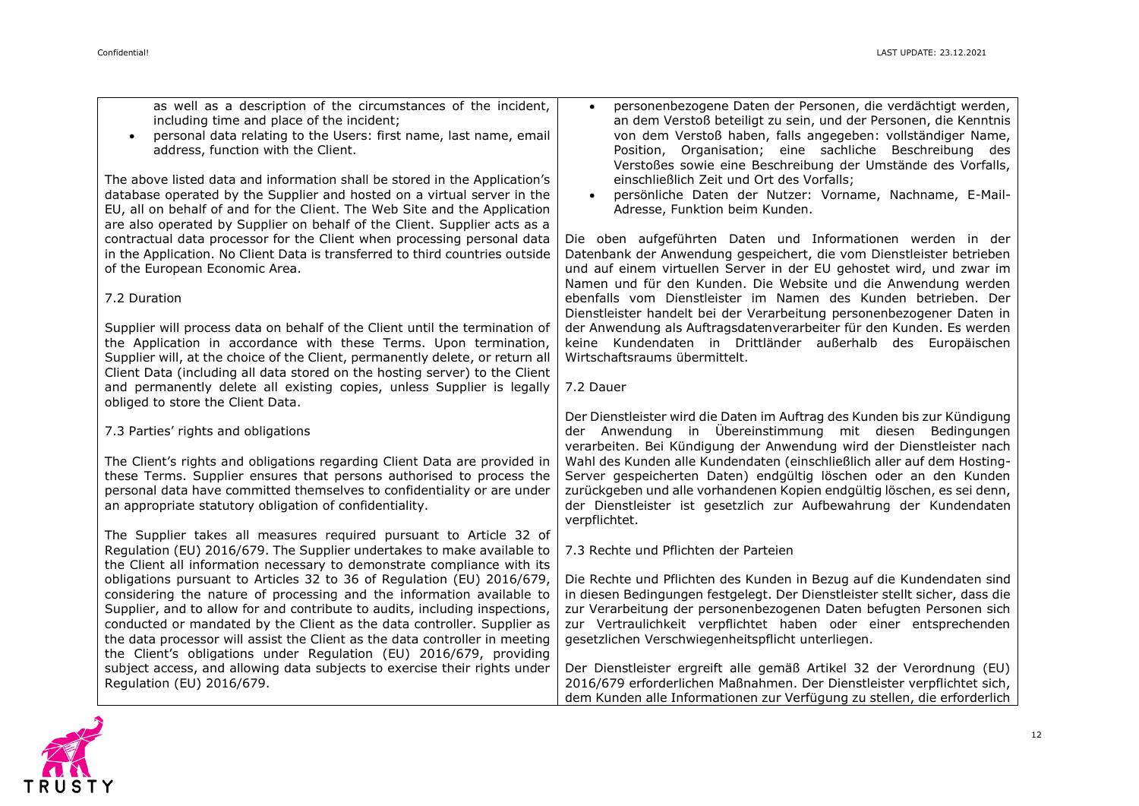as well as a description of the circumstances of the incident, including time and place of the incident;

• personal data relating to the Users: first name, last name, email address, function with the Client.

The above listed data and information shall be stored in the Application's database operated by the Supplier and hosted on a virtual server in the EU, all on behalf of and for the Client. The Web Site and the Application are also operated by Supplier on behalf of the Client. Supplier acts as a contractual data processor for the Client when processing personal data in the Application. No Client Data is transferred to third countries outside of the European Economic Area.

## 7.2 Duration

Supplier will process data on behalf of the Client until the termination of the Application in accordance with these Terms. Upon termination, Supplier will, at the choice of the Client, permanently delete, or return all Client Data (including all data stored on the hosting server) to the Client and permanently delete all existing copies, unless Supplier is legally obliged to store the Client Data.

# 7.3 Parties' rights and obligations

The Client's rights and obligations regarding Client Data are provided in these Terms. Supplier ensures that persons authorised to process the personal data have committed themselves to confidentiality or are under an appropriate statutory obligation of confidentiality.

The Supplier takes all measures required pursuant to Article 32 of Regulation (EU) 2016/679. The Supplier undertakes to make available to the Client all information necessary to demonstrate compliance with its obligations pursuant to Articles 32 to 36 of Regulation (EU) 2016/679, considering the nature of processing and the information available to Supplier, and to allow for and contribute to audits, including inspections, conducted or mandated by the Client as the data controller. Supplier as the data processor will assist the Client as the data controller in meeting the Client's obligations under Regulation (EU) 2016/679, providing subject access, and allowing data subjects to exercise their rights under Regulation (EU) 2016/679.

- personenbezogene Daten der Personen, die verdächtigt werden, an dem Verstoß beteiligt zu sein, und der Personen, die Kenntnis von dem Verstoß haben, falls angegeben: vollständiger Name, Position, Organisation; eine sachliche Beschreibung des Verstoßes sowie eine Beschreibung der Umstände des Vorfalls, einschließlich Zeit und Ort des Vorfalls;
- persönliche Daten der Nutzer: Vorname, Nachname, E-Mail-Adresse, Funktion beim Kunden.

Die oben aufgeführten Daten und Informationen werden in der Datenbank der Anwendung gespeichert, die vom Dienstleister betrieben und auf einem virtuellen Server in der EU gehostet wird, und zwar im Namen und für den Kunden. Die Website und die Anwendung werden ebenfalls vom Dienstleister im Namen des Kunden betrieben. Der Dienstleister handelt bei der Verarbeitung personenbezogener Daten in der Anwendung als Auftragsdatenverarbeiter für den Kunden. Es werden keine Kundendaten in Drittländer außerhalb des Europäischen Wirtschaftsraums übermittelt.

7.2 Dauer

Der Dienstleister wird die Daten im Auftrag des Kunden bis zur Kündigung der Anwendung in Übereinstimmung mit diesen Bedingungen verarbeiten. Bei Kündigung der Anwendung wird der Dienstleister nach Wahl des Kunden alle Kundendaten (einschließlich aller auf dem Hosting-Server gespeicherten Daten) endgültig löschen oder an den Kunden zurückgeben und alle vorhandenen Kopien endgültig löschen, es sei denn, der Dienstleister ist gesetzlich zur Aufbewahrung der Kundendaten verpflichtet.

## 7.3 Rechte und Pflichten der Parteien

Die Rechte und Pflichten des Kunden in Bezug auf die Kundendaten sind in diesen Bedingungen festgelegt. Der Dienstleister stellt sicher, dass die zur Verarbeitung der personenbezogenen Daten befugten Personen sich zur Vertraulichkeit verpflichtet haben oder einer entsprechenden gesetzlichen Verschwiegenheitspflicht unterliegen.

Der Dienstleister ergreift alle gemäß Artikel 32 der Verordnung (EU) 2016/679 erforderlichen Maßnahmen. Der Dienstleister verpflichtet sich, dem Kunden alle Informationen zur Verfügung zu stellen, die erforderlich

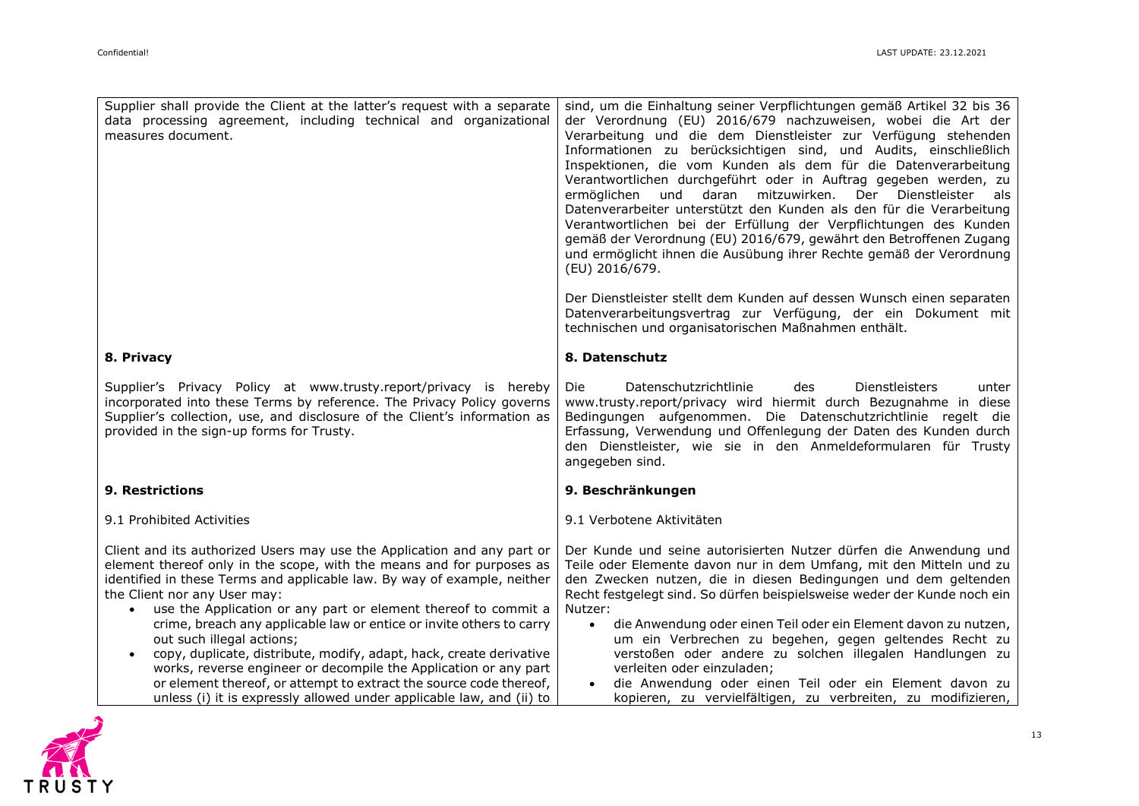| Supplier shall provide the Client at the latter's request with a separate<br>data processing agreement, including technical and organizational<br>measures document.                                                                                                                                                                                                                                                                                                                                                                                                                                                                                                                                                         | sind, um die Einhaltung seiner Verpflichtungen gemäß Artikel 32 bis 36<br>der Verordnung (EU) 2016/679 nachzuweisen, wobei die Art der<br>Verarbeitung und die dem Dienstleister zur Verfügung stehenden<br>Informationen zu berücksichtigen sind, und Audits, einschließlich<br>Inspektionen, die vom Kunden als dem für die Datenverarbeitung<br>Verantwortlichen durchgeführt oder in Auftrag gegeben werden, zu<br>ermöglichen und daran mitzuwirken. Der Dienstleister<br>als<br>Datenverarbeiter unterstützt den Kunden als den für die Verarbeitung<br>Verantwortlichen bei der Erfüllung der Verpflichtungen des Kunden<br>gemäß der Verordnung (EU) 2016/679, gewährt den Betroffenen Zugang |
|------------------------------------------------------------------------------------------------------------------------------------------------------------------------------------------------------------------------------------------------------------------------------------------------------------------------------------------------------------------------------------------------------------------------------------------------------------------------------------------------------------------------------------------------------------------------------------------------------------------------------------------------------------------------------------------------------------------------------|-------------------------------------------------------------------------------------------------------------------------------------------------------------------------------------------------------------------------------------------------------------------------------------------------------------------------------------------------------------------------------------------------------------------------------------------------------------------------------------------------------------------------------------------------------------------------------------------------------------------------------------------------------------------------------------------------------|
|                                                                                                                                                                                                                                                                                                                                                                                                                                                                                                                                                                                                                                                                                                                              | und ermöglicht ihnen die Ausübung ihrer Rechte gemäß der Verordnung<br>(EU) 2016/679.<br>Der Dienstleister stellt dem Kunden auf dessen Wunsch einen separaten<br>Datenverarbeitungsvertrag zur Verfügung, der ein Dokument mit<br>technischen und organisatorischen Maßnahmen enthält.                                                                                                                                                                                                                                                                                                                                                                                                               |
| 8. Privacy                                                                                                                                                                                                                                                                                                                                                                                                                                                                                                                                                                                                                                                                                                                   | 8. Datenschutz                                                                                                                                                                                                                                                                                                                                                                                                                                                                                                                                                                                                                                                                                        |
| Supplier's Privacy Policy at www.trusty.report/privacy is hereby<br>incorporated into these Terms by reference. The Privacy Policy governs<br>Supplier's collection, use, and disclosure of the Client's information as<br>provided in the sign-up forms for Trusty.                                                                                                                                                                                                                                                                                                                                                                                                                                                         | Datenschutzrichtlinie<br><b>Dienstleisters</b><br>Die i<br>des<br>unter<br>www.trusty.report/privacy wird hiermit durch Bezugnahme in diese<br>Bedingungen aufgenommen. Die Datenschutzrichtlinie regelt die<br>Erfassung, Verwendung und Offenlegung der Daten des Kunden durch<br>den Dienstleister, wie sie in den Anmeldeformularen für Trusty<br>angegeben sind.                                                                                                                                                                                                                                                                                                                                 |
| <b>9. Restrictions</b>                                                                                                                                                                                                                                                                                                                                                                                                                                                                                                                                                                                                                                                                                                       | 9. Beschränkungen                                                                                                                                                                                                                                                                                                                                                                                                                                                                                                                                                                                                                                                                                     |
| 9.1 Prohibited Activities                                                                                                                                                                                                                                                                                                                                                                                                                                                                                                                                                                                                                                                                                                    | 9.1 Verbotene Aktivitäten                                                                                                                                                                                                                                                                                                                                                                                                                                                                                                                                                                                                                                                                             |
| Client and its authorized Users may use the Application and any part or<br>element thereof only in the scope, with the means and for purposes as<br>identified in these Terms and applicable law. By way of example, neither<br>the Client nor any User may:<br>use the Application or any part or element thereof to commit a<br>crime, breach any applicable law or entice or invite others to carry<br>out such illegal actions;<br>copy, duplicate, distribute, modify, adapt, hack, create derivative<br>works, reverse engineer or decompile the Application or any part<br>or element thereof, or attempt to extract the source code thereof,<br>unless (i) it is expressly allowed under applicable law, and (ii) to | Der Kunde und seine autorisierten Nutzer dürfen die Anwendung und<br>Teile oder Elemente davon nur in dem Umfang, mit den Mitteln und zu<br>den Zwecken nutzen, die in diesen Bedingungen und dem geltenden<br>Recht festgelegt sind. So dürfen beispielsweise weder der Kunde noch ein<br>Nutzer:<br>· die Anwendung oder einen Teil oder ein Element davon zu nutzen,<br>um ein Verbrechen zu begehen, gegen geltendes Recht zu<br>verstoßen oder andere zu solchen illegalen Handlungen zu<br>verleiten oder einzuladen;<br>die Anwendung oder einen Teil oder ein Element davon zu<br>kopieren, zu vervielfältigen, zu verbreiten, zu modifizieren,                                               |

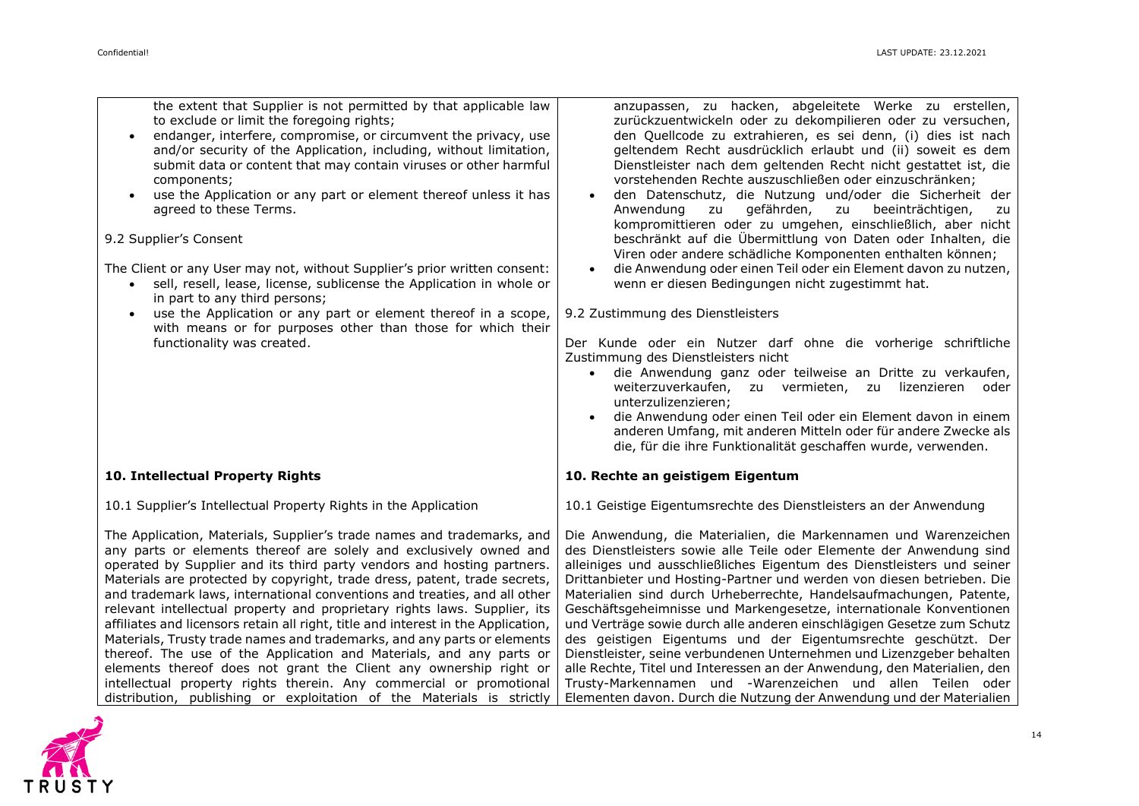the extent that Supplier is not permitted by that applicable law to exclude or limit the foregoing rights;

- endanger, interfere, compromise, or circumvent the privacy, use and/or security of the Application, including, without limitation, submit data or content that may contain viruses or other harmful components;
- use the Application or any part or element thereof unless it has agreed to these Terms.

# 9.2 Supplier's Consent

The Client or any User may not, without Supplier's prior written consent:

- sell, resell, lease, license, sublicense the Application in whole or in part to any third persons;
- use the Application or any part or element thereof in a scope, with means or for purposes other than those for which their functionality was created.

# **10. Intellectual Property Rights**

10.1 Supplier's Intellectual Property Rights in the Application

The Application, Materials, Supplier's trade names and trademarks, and any parts or elements thereof are solely and exclusively owned and operated by Supplier and its third party vendors and hosting partners. Materials are protected by copyright, trade dress, patent, trade secrets, and trademark laws, international conventions and treaties, and all other relevant intellectual property and proprietary rights laws. Supplier, its affiliates and licensors retain all right, title and interest in the Application, Materials, Trusty trade names and trademarks, and any parts or elements thereof. The use of the Application and Materials, and any parts or elements thereof does not grant the Client any ownership right or intellectual property rights therein. Any commercial or promotional distribution, publishing or exploitation of the Materials is strictly



- den Datenschutz, die Nutzung und/oder die Sicherheit der Anwendung zu gefährden, zu beeinträchtigen, zu kompromittieren oder zu umgehen, einschließlich, aber nicht beschränkt auf die Übermittlung von Daten oder Inhalten, die Viren oder andere schädliche Komponenten enthalten können;
- die Anwendung oder einen Teil oder ein Element davon zu nutzen, wenn er diesen Bedingungen nicht zugestimmt hat.

## 9.2 Zustimmung des Dienstleisters

Der Kunde oder ein Nutzer darf ohne die vorherige schriftliche Zustimmung des Dienstleisters nicht

- die Anwendung ganz oder teilweise an Dritte zu verkaufen, weiterzuverkaufen, zu vermieten, zu lizenzieren oder unterzulizenzieren;
- die Anwendung oder einen Teil oder ein Element davon in einem anderen Umfang, mit anderen Mitteln oder für andere Zwecke als die, für die ihre Funktionalität geschaffen wurde, verwenden.

# **10. Rechte an geistigem Eigentum**

10.1 Geistige Eigentumsrechte des Dienstleisters an der Anwendung

Die Anwendung, die Materialien, die Markennamen und Warenzeichen des Dienstleisters sowie alle Teile oder Elemente der Anwendung sind alleiniges und ausschließliches Eigentum des Dienstleisters und seiner Drittanbieter und Hosting-Partner und werden von diesen betrieben. Die Materialien sind durch Urheberrechte, Handelsaufmachungen, Patente, Geschäftsgeheimnisse und Markengesetze, internationale Konventionen und Verträge sowie durch alle anderen einschlägigen Gesetze zum Schutz des geistigen Eigentums und der Eigentumsrechte geschützt. Der Dienstleister, seine verbundenen Unternehmen und Lizenzgeber behalten alle Rechte, Titel und Interessen an der Anwendung, den Materialien, den Trusty-Markennamen und -Warenzeichen und allen Teilen oder Elementen davon. Durch die Nutzung der Anwendung und der Materialien

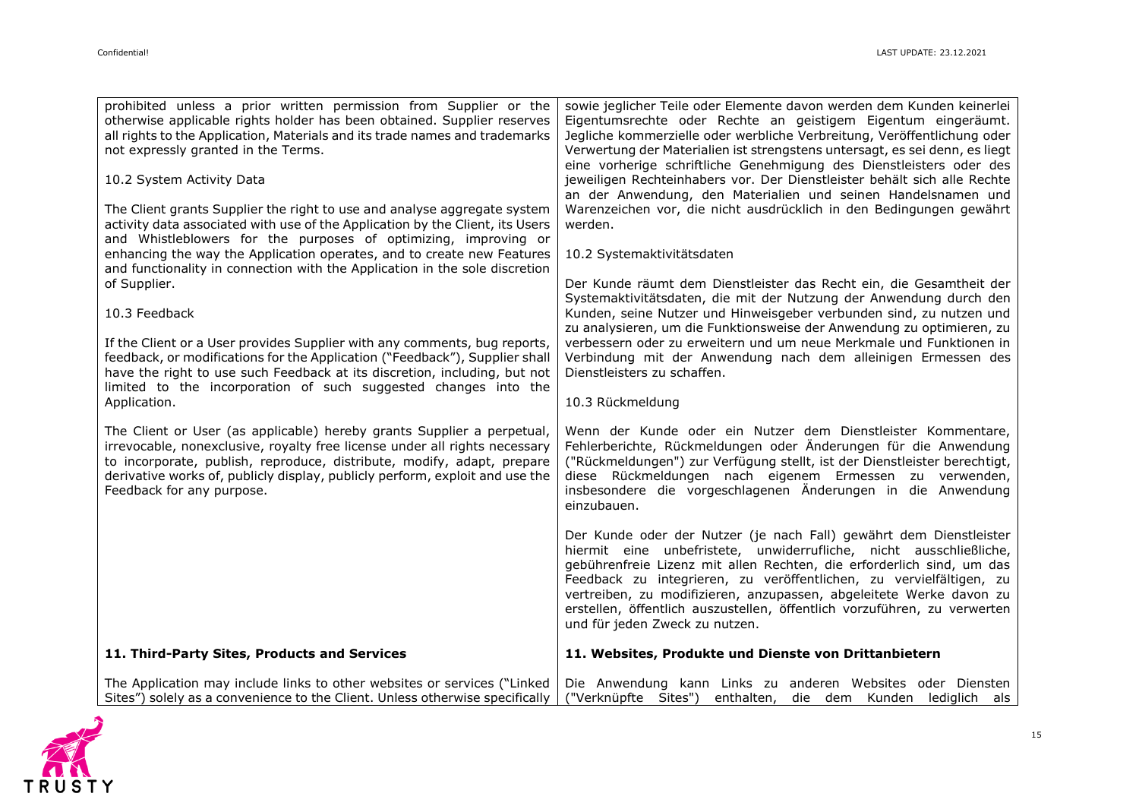| prohibited unless a prior written permission from Supplier or the<br>otherwise applicable rights holder has been obtained. Supplier reserves<br>all rights to the Application, Materials and its trade names and trademarks<br>not expressly granted in the Terms.<br>10.2 System Activity Data<br>The Client grants Supplier the right to use and analyse aggregate system<br>activity data associated with use of the Application by the Client, its Users<br>and Whistleblowers for the purposes of optimizing, improving or<br>enhancing the way the Application operates, and to create new Features<br>and functionality in connection with the Application in the sole discretion<br>of Supplier.<br>10.3 Feedback<br>If the Client or a User provides Supplier with any comments, bug reports,<br>feedback, or modifications for the Application ("Feedback"), Supplier shall<br>have the right to use such Feedback at its discretion, including, but not<br>limited to the incorporation of such suggested changes into the<br>Application. | sowie jeglicher Teile oder Elemente davon werden dem Kunden keinerlei<br>Eigentumsrechte oder Rechte an geistigem Eigentum eingeräumt.<br>Jegliche kommerzielle oder werbliche Verbreitung, Veröffentlichung oder<br>Verwertung der Materialien ist strengstens untersagt, es sei denn, es liegt<br>eine vorherige schriftliche Genehmigung des Dienstleisters oder des<br>jeweiligen Rechteinhabers vor. Der Dienstleister behält sich alle Rechte<br>an der Anwendung, den Materialien und seinen Handelsnamen und<br>Warenzeichen vor, die nicht ausdrücklich in den Bedingungen gewährt<br>werden.<br>10.2 Systemaktivitätsdaten<br>Der Kunde räumt dem Dienstleister das Recht ein, die Gesamtheit der<br>Systemaktivitätsdaten, die mit der Nutzung der Anwendung durch den<br>Kunden, seine Nutzer und Hinweisgeber verbunden sind, zu nutzen und<br>zu analysieren, um die Funktionsweise der Anwendung zu optimieren, zu<br>verbessern oder zu erweitern und um neue Merkmale und Funktionen in<br>Verbindung mit der Anwendung nach dem alleinigen Ermessen des<br>Dienstleisters zu schaffen.<br>10.3 Rückmeldung |
|-------------------------------------------------------------------------------------------------------------------------------------------------------------------------------------------------------------------------------------------------------------------------------------------------------------------------------------------------------------------------------------------------------------------------------------------------------------------------------------------------------------------------------------------------------------------------------------------------------------------------------------------------------------------------------------------------------------------------------------------------------------------------------------------------------------------------------------------------------------------------------------------------------------------------------------------------------------------------------------------------------------------------------------------------------|------------------------------------------------------------------------------------------------------------------------------------------------------------------------------------------------------------------------------------------------------------------------------------------------------------------------------------------------------------------------------------------------------------------------------------------------------------------------------------------------------------------------------------------------------------------------------------------------------------------------------------------------------------------------------------------------------------------------------------------------------------------------------------------------------------------------------------------------------------------------------------------------------------------------------------------------------------------------------------------------------------------------------------------------------------------------------------------------------------------------------|
| The Client or User (as applicable) hereby grants Supplier a perpetual,<br>irrevocable, nonexclusive, royalty free license under all rights necessary<br>to incorporate, publish, reproduce, distribute, modify, adapt, prepare<br>derivative works of, publicly display, publicly perform, exploit and use the<br>Feedback for any purpose.                                                                                                                                                                                                                                                                                                                                                                                                                                                                                                                                                                                                                                                                                                           | Wenn der Kunde oder ein Nutzer dem Dienstleister Kommentare,<br>Fehlerberichte, Rückmeldungen oder Änderungen für die Anwendung<br>("Rückmeldungen") zur Verfügung stellt, ist der Dienstleister berechtigt,<br>diese Rückmeldungen nach eigenem Ermessen zu verwenden,<br>insbesondere die vorgeschlagenen Änderungen in die Anwendung<br>einzubauen.                                                                                                                                                                                                                                                                                                                                                                                                                                                                                                                                                                                                                                                                                                                                                                       |
|                                                                                                                                                                                                                                                                                                                                                                                                                                                                                                                                                                                                                                                                                                                                                                                                                                                                                                                                                                                                                                                       | Der Kunde oder der Nutzer (je nach Fall) gewährt dem Dienstleister<br>hiermit eine unbefristete, unwiderrufliche, nicht ausschließliche,<br>gebührenfreie Lizenz mit allen Rechten, die erforderlich sind, um das<br>Feedback zu integrieren, zu veröffentlichen, zu vervielfältigen, zu<br>vertreiben, zu modifizieren, anzupassen, abgeleitete Werke davon zu<br>erstellen, öffentlich auszustellen, öffentlich vorzuführen, zu verwerten<br>und für jeden Zweck zu nutzen.                                                                                                                                                                                                                                                                                                                                                                                                                                                                                                                                                                                                                                                |
| 11. Third-Party Sites, Products and Services                                                                                                                                                                                                                                                                                                                                                                                                                                                                                                                                                                                                                                                                                                                                                                                                                                                                                                                                                                                                          | 11. Websites, Produkte und Dienste von Drittanbietern                                                                                                                                                                                                                                                                                                                                                                                                                                                                                                                                                                                                                                                                                                                                                                                                                                                                                                                                                                                                                                                                        |
| The Application may include links to other websites or services ("Linked<br>Sites") solely as a convenience to the Client. Unless otherwise specifically                                                                                                                                                                                                                                                                                                                                                                                                                                                                                                                                                                                                                                                                                                                                                                                                                                                                                              | Die Anwendung kann Links zu anderen Websites oder Diensten<br>("Verknüpfte Sites") enthalten, die dem Kunden lediglich als                                                                                                                                                                                                                                                                                                                                                                                                                                                                                                                                                                                                                                                                                                                                                                                                                                                                                                                                                                                                   |

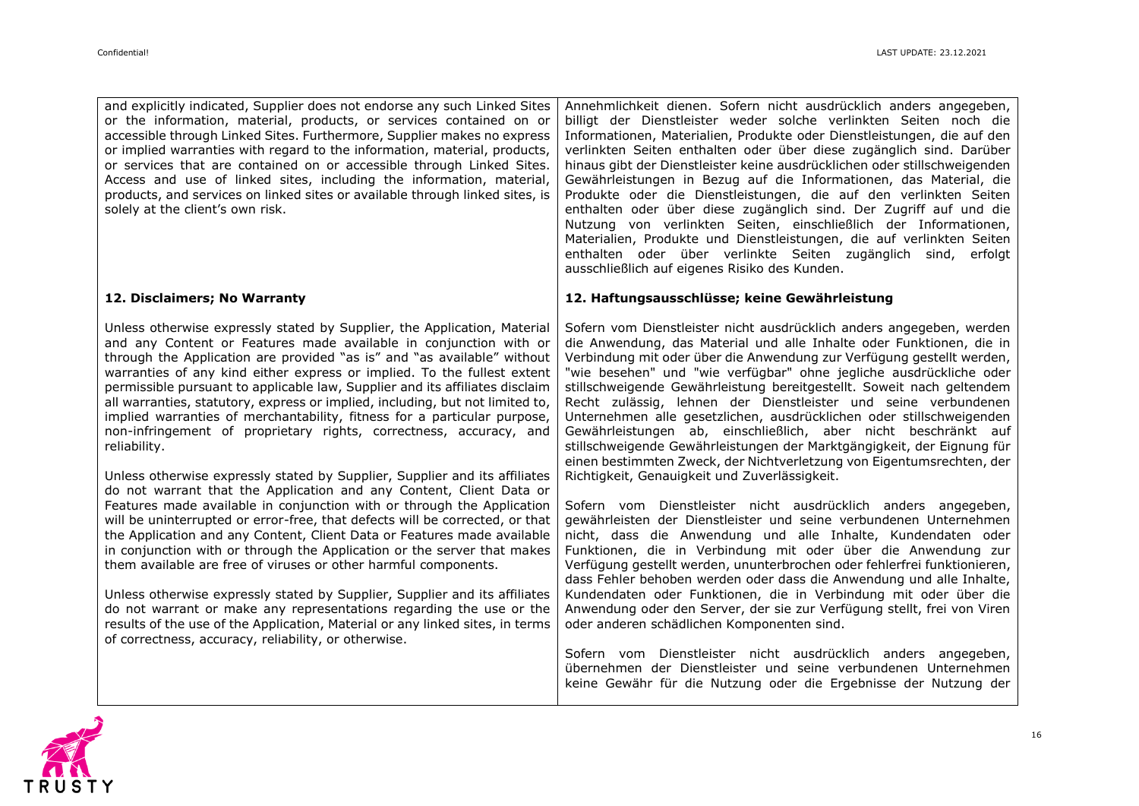and explicitly indicated, Supplier does not endorse any such Linked Sites or the information, material, products, or services contained on or accessible through Linked Sites. Furthermore, Supplier makes no express or implied warranties with regard to the information, material, products, or services that are contained on or accessible through Linked Sites. Access and use of linked sites, including the information, material, products, and services on linked sites or available through linked sites, is solely at the client's own risk.

#### **12. Disclaimers; No Warranty**

Unless otherwise expressly stated by Supplier, the Application, Material and any Content or Features made available in conjunction with or through the Application are provided "as is" and "as available" without warranties of any kind either express or implied. To the fullest extent permissible pursuant to applicable law, Supplier and its affiliates disclaim all warranties, statutory, express or implied, including, but not limited to, implied warranties of merchantability, fitness for a particular purpose, non-infringement of proprietary rights, correctness, accuracy, and reliability.

Unless otherwise expressly stated by Supplier, Supplier and its affiliates do not warrant that the Application and any Content, Client Data or Features made available in conjunction with or through the Application will be uninterrupted or error-free, that defects will be corrected, or that the Application and any Content, Client Data or Features made available in conjunction with or through the Application or the server that makes them available are free of viruses or other harmful components.

Unless otherwise expressly stated by Supplier, Supplier and its affiliates do not warrant or make any representations regarding the use or the results of the use of the Application, Material or any linked sites, in terms of correctness, accuracy, reliability, or otherwise.

Annehmlichkeit dienen. Sofern nicht ausdrücklich anders angegeben, billigt der Dienstleister weder solche verlinkten Seiten noch die Informationen, Materialien, Produkte oder Dienstleistungen, die auf den verlinkten Seiten enthalten oder über diese zugänglich sind. Darüber hinaus gibt der Dienstleister keine ausdrücklichen oder stillschweigenden Gewährleistungen in Bezug auf die Informationen, das Material, die Produkte oder die Dienstleistungen, die auf den verlinkten Seiten enthalten oder über diese zugänglich sind. Der Zugriff auf und die Nutzung von verlinkten Seiten, einschließlich der Informationen, Materialien, Produkte und Dienstleistungen, die auf verlinkten Seiten enthalten oder über verlinkte Seiten zugänglich sind, erfolgt ausschließlich auf eigenes Risiko des Kunden.

#### **12. Haftungsausschlüsse; keine Gewährleistung**

Sofern vom Dienstleister nicht ausdrücklich anders angegeben, werden die Anwendung, das Material und alle Inhalte oder Funktionen, die in Verbindung mit oder über die Anwendung zur Verfügung gestellt werden, "wie besehen" und "wie verfügbar" ohne jegliche ausdrückliche oder stillschweigende Gewährleistung bereitgestellt. Soweit nach geltendem Recht zulässig, lehnen der Dienstleister und seine verbundenen Unternehmen alle gesetzlichen, ausdrücklichen oder stillschweigenden Gewährleistungen ab, einschließlich, aber nicht beschränkt auf stillschweigende Gewährleistungen der Marktgängigkeit, der Eignung für einen bestimmten Zweck, der Nichtverletzung von Eigentumsrechten, der Richtigkeit, Genauigkeit und Zuverlässigkeit.

Sofern vom Dienstleister nicht ausdrücklich anders angegeben, gewährleisten der Dienstleister und seine verbundenen Unternehmen nicht, dass die Anwendung und alle Inhalte, Kundendaten oder Funktionen, die in Verbindung mit oder über die Anwendung zur Verfügung gestellt werden, ununterbrochen oder fehlerfrei funktionieren, dass Fehler behoben werden oder dass die Anwendung und alle Inhalte, Kundendaten oder Funktionen, die in Verbindung mit oder über die Anwendung oder den Server, der sie zur Verfügung stellt, frei von Viren oder anderen schädlichen Komponenten sind.

Sofern vom Dienstleister nicht ausdrücklich anders angegeben, übernehmen der Dienstleister und seine verbundenen Unternehmen keine Gewähr für die Nutzung oder die Ergebnisse der Nutzung der

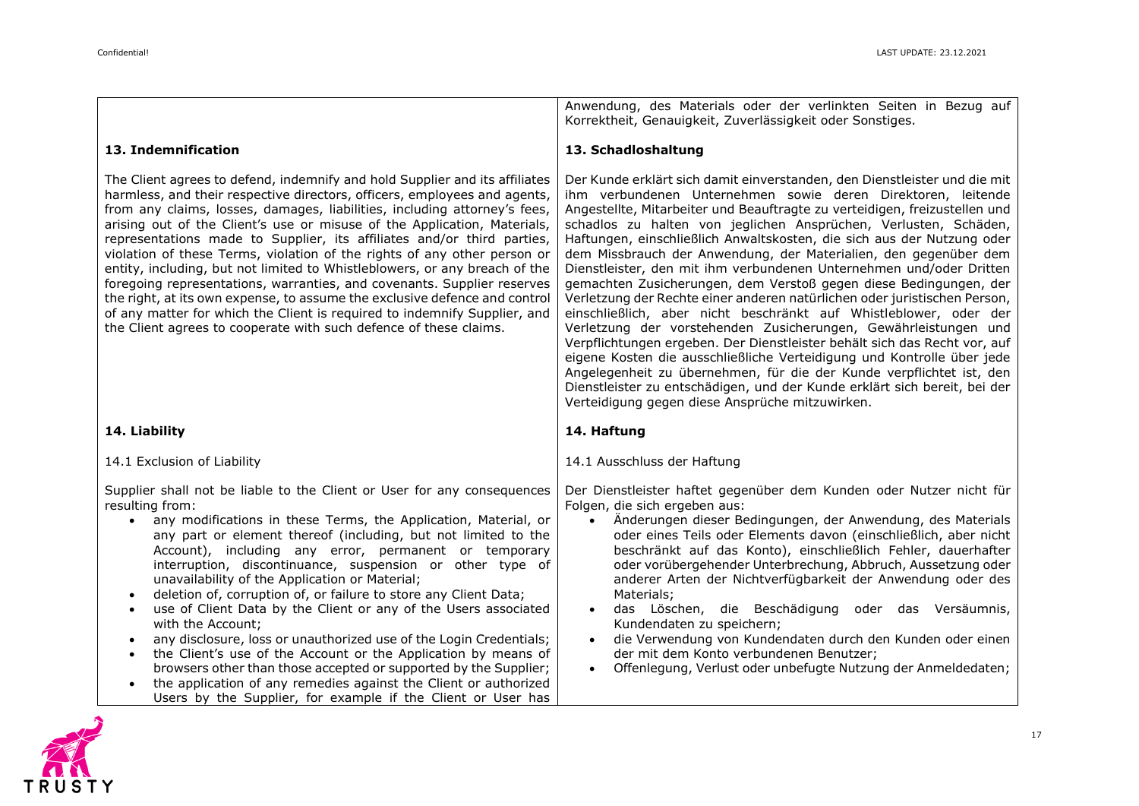## **13. Indemnification**

The Client agrees to defend, indemnify and hold Supplier and its affiliates harmless, and their respective directors, officers, employees and agents, from any claims, losses, damages, liabilities, including attorney's fees, arising out of the Client's use or misuse of the Application, Materials, representations made to Supplier, its affiliates and/or third parties, violation of these Terms, violation of the rights of any other person or entity, including, but not limited to Whistleblowers, or any breach of the foregoing representations, warranties, and covenants. Supplier reserves the right, at its own expense, to assume the exclusive defence and control of any matter for which the Client is required to indemnify Supplier, and the Client agrees to cooperate with such defence of these claims.

## **14. Liability**

## 14.1 Exclusion of Liability

Supplier shall not be liable to the Client or User for any consequences resulting from:

- any modifications in these Terms, the Application, Material, or any part or element thereof (including, but not limited to the Account), including any error, permanent or temporary interruption, discontinuance, suspension or other type of unavailability of the Application or Material;
- deletion of, corruption of, or failure to store any Client Data;
- use of Client Data by the Client or any of the Users associated with the Account;
- any disclosure, loss or unauthorized use of the Login Credentials;
- the Client's use of the Account or the Application by means of browsers other than those accepted or supported by the Supplier;
- the application of any remedies against the Client or authorized Users by the Supplier, for example if the Client or User has

Anwendung, des Materials oder der verlinkten Seiten in Bezug auf Korrektheit, Genauigkeit, Zuverlässigkeit oder Sonstiges.

## **13. Schadloshaltung**

Der Kunde erklärt sich damit einverstanden, den Dienstleister und die mit ihm verbundenen Unternehmen sowie deren Direktoren, leitende Angestellte, Mitarbeiter und Beauftragte zu verteidigen, freizustellen und schadlos zu halten von jeglichen Ansprüchen, Verlusten, Schäden, Haftungen, einschließlich Anwaltskosten, die sich aus der Nutzung oder dem Missbrauch der Anwendung, der Materialien, den gegenüber dem Dienstleister, den mit ihm verbundenen Unternehmen und/oder Dritten gemachten Zusicherungen, dem Verstoß gegen diese Bedingungen, der Verletzung der Rechte einer anderen natürlichen oder juristischen Person, einschließlich, aber nicht beschränkt auf Whistleblower, oder der Verletzung der vorstehenden Zusicherungen, Gewährleistungen und Verpflichtungen ergeben. Der Dienstleister behält sich das Recht vor, auf eigene Kosten die ausschließliche Verteidigung und Kontrolle über jede Angelegenheit zu übernehmen, für die der Kunde verpflichtet ist, den Dienstleister zu entschädigen, und der Kunde erklärt sich bereit, bei der Verteidigung gegen diese Ansprüche mitzuwirken.

## **14. Haftung**

## 14.1 Ausschluss der Haftung

Der Dienstleister haftet gegenüber dem Kunden oder Nutzer nicht für Folgen, die sich ergeben aus:

- Änderungen dieser Bedingungen, der Anwendung, des Materials oder eines Teils oder Elements davon (einschließlich, aber nicht beschränkt auf das Konto), einschließlich Fehler, dauerhafter oder vorübergehender Unterbrechung, Abbruch, Aussetzung oder anderer Arten der Nichtverfügbarkeit der Anwendung oder des Materials;
- das Löschen, die Beschädigung oder das Versäumnis, Kundendaten zu speichern;
- die Verwendung von Kundendaten durch den Kunden oder einen der mit dem Konto verbundenen Benutzer;
- Offenlegung, Verlust oder unbefugte Nutzung der Anmeldedaten;

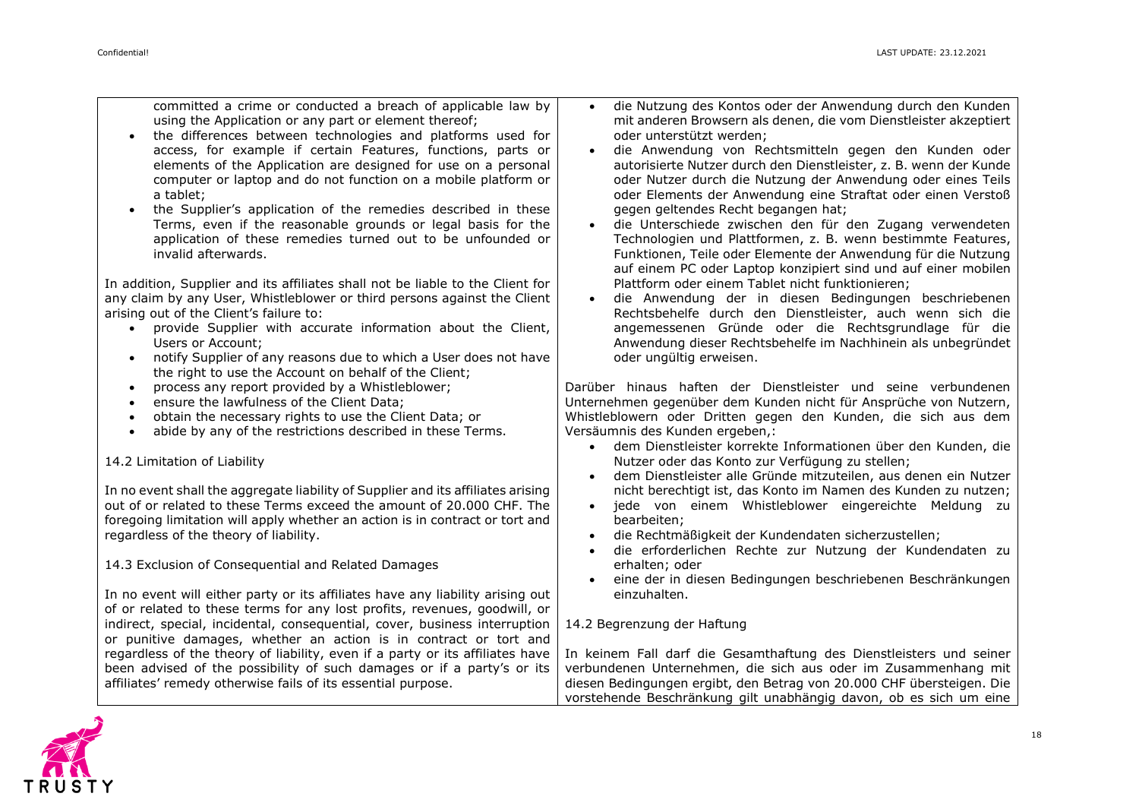committed a crime or conducted a breach of applicable law by using the Application or any part or element thereof;

- the differences between technologies and platforms used for access, for example if certain Features, functions, parts or elements of the Application are designed for use on a personal computer or laptop and do not function on a mobile platform or a tablet;
- the Supplier's application of the remedies described in these Terms, even if the reasonable grounds or legal basis for the application of these remedies turned out to be unfounded or invalid afterwards.

In addition, Supplier and its affiliates shall not be liable to the Client for any claim by any User, Whistleblower or third persons against the Client arising out of the Client's failure to:

- provide Supplier with accurate information about the Client, Users or Account;
- notify Supplier of any reasons due to which a User does not have the right to use the Account on behalf of the Client;
- process any report provided by a Whistleblower;
- ensure the lawfulness of the Client Data;
- obtain the necessary rights to use the Client Data; or
- abide by any of the restrictions described in these Terms.

## 14.2 Limitation of Liability

In no event shall the aggregate liability of Supplier and its affiliates arising out of or related to these Terms exceed the amount of 20.000 CHF. The foregoing limitation will apply whether an action is in contract or tort and regardless of the theory of liability.

14.3 Exclusion of Consequential and Related Damages

In no event will either party or its affiliates have any liability arising out of or related to these terms for any lost profits, revenues, goodwill, or indirect, special, incidental, consequential, cover, business interruption or punitive damages, whether an action is in contract or tort and regardless of the theory of liability, even if a party or its affiliates have been advised of the possibility of such damages or if a party's or its affiliates' remedy otherwise fails of its essential purpose.

- die Nutzung des Kontos oder der Anwendung durch den Kunden mit anderen Browsern als denen, die vom Dienstleister akzeptiert oder unterstützt werden;
- die Anwendung von Rechtsmitteln gegen den Kunden oder autorisierte Nutzer durch den Dienstleister, z. B. wenn der Kunde oder Nutzer durch die Nutzung der Anwendung oder eines Teils oder Elements der Anwendung eine Straftat oder einen Verstoß gegen geltendes Recht begangen hat;
- die Unterschiede zwischen den für den Zugang verwendeten Technologien und Plattformen, z. B. wenn bestimmte Features, Funktionen, Teile oder Elemente der Anwendung für die Nutzung auf einem PC oder Laptop konzipiert sind und auf einer mobilen Plattform oder einem Tablet nicht funktionieren;
- die Anwendung der in diesen Bedingungen beschriebenen Rechtsbehelfe durch den Dienstleister, auch wenn sich die angemessenen Gründe oder die Rechtsgrundlage für die Anwendung dieser Rechtsbehelfe im Nachhinein als unbegründet oder ungültig erweisen.

Darüber hinaus haften der Dienstleister und seine verbundenen Unternehmen gegenüber dem Kunden nicht für Ansprüche von Nutzern, Whistleblowern oder Dritten gegen den Kunden, die sich aus dem Versäumnis des Kunden ergeben,:

- dem Dienstleister korrekte Informationen über den Kunden, die Nutzer oder das Konto zur Verfügung zu stellen;
- dem Dienstleister alle Gründe mitzuteilen, aus denen ein Nutzer nicht berechtigt ist, das Konto im Namen des Kunden zu nutzen;
- jede von einem Whistleblower eingereichte Meldung zu bearbeiten;
- die Rechtmäßigkeit der Kundendaten sicherzustellen;
- die erforderlichen Rechte zur Nutzung der Kundendaten zu erhalten; oder
- eine der in diesen Bedingungen beschriebenen Beschränkungen einzuhalten.

## 14.2 Begrenzung der Haftung

In keinem Fall darf die Gesamthaftung des Dienstleisters und seiner verbundenen Unternehmen, die sich aus oder im Zusammenhang mit diesen Bedingungen ergibt, den Betrag von 20.000 CHF übersteigen. Die vorstehende Beschränkung gilt unabhängig davon, ob es sich um eine

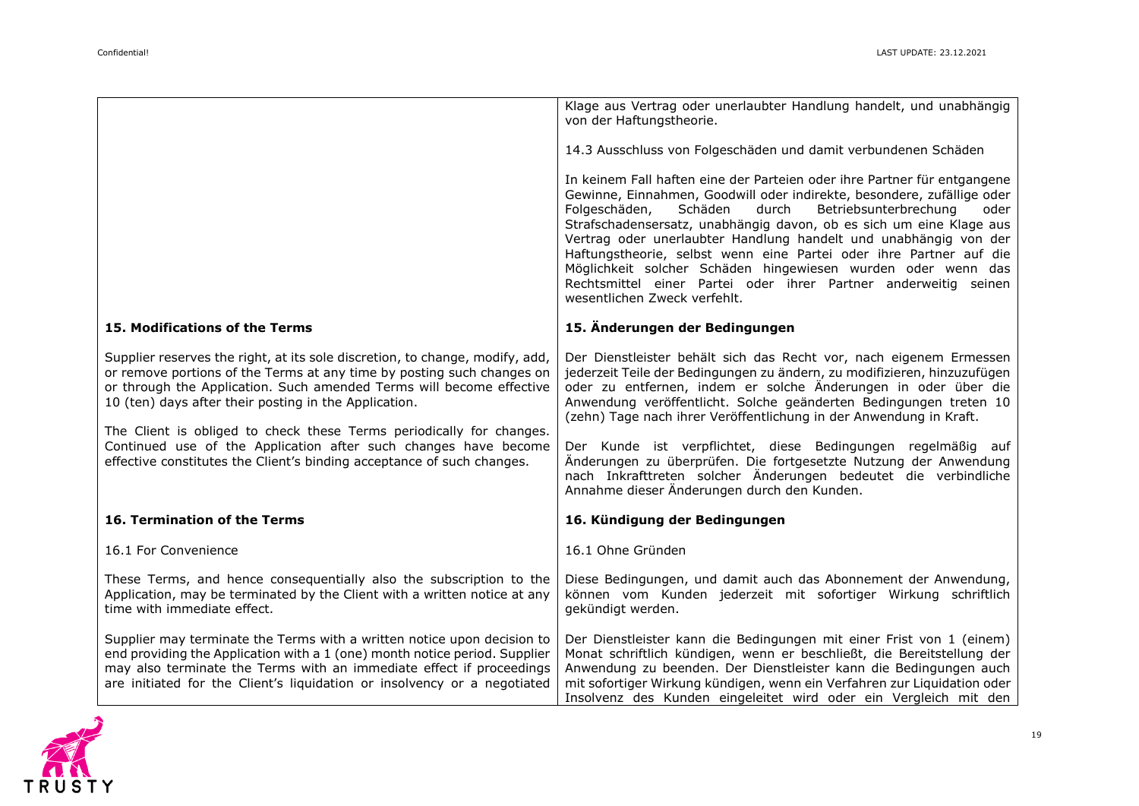|                                                                                                                                                                                                                                                                                                                                                                                                                                                                                                              | Klage aus Vertrag oder unerlaubter Handlung handelt, und unabhängig<br>von der Haftungstheorie.                                                                                                                                                                                                                                                                                                                                                                                                                                                                                                                   |
|--------------------------------------------------------------------------------------------------------------------------------------------------------------------------------------------------------------------------------------------------------------------------------------------------------------------------------------------------------------------------------------------------------------------------------------------------------------------------------------------------------------|-------------------------------------------------------------------------------------------------------------------------------------------------------------------------------------------------------------------------------------------------------------------------------------------------------------------------------------------------------------------------------------------------------------------------------------------------------------------------------------------------------------------------------------------------------------------------------------------------------------------|
|                                                                                                                                                                                                                                                                                                                                                                                                                                                                                                              | 14.3 Ausschluss von Folgeschäden und damit verbundenen Schäden                                                                                                                                                                                                                                                                                                                                                                                                                                                                                                                                                    |
|                                                                                                                                                                                                                                                                                                                                                                                                                                                                                                              | In keinem Fall haften eine der Parteien oder ihre Partner für entgangene<br>Gewinne, Einnahmen, Goodwill oder indirekte, besondere, zufällige oder<br>Folgeschäden,<br>Schäden<br>durch<br>Betriebsunterbrechung<br>oder<br>Strafschadensersatz, unabhängig davon, ob es sich um eine Klage aus<br>Vertrag oder unerlaubter Handlung handelt und unabhängig von der<br>Haftungstheorie, selbst wenn eine Partei oder ihre Partner auf die<br>Möglichkeit solcher Schäden hingewiesen wurden oder wenn das<br>Rechtsmittel einer Partei oder ihrer Partner anderweitig seinen<br>wesentlichen Zweck verfehlt.      |
| 15. Modifications of the Terms                                                                                                                                                                                                                                                                                                                                                                                                                                                                               | 15. Änderungen der Bedingungen                                                                                                                                                                                                                                                                                                                                                                                                                                                                                                                                                                                    |
| Supplier reserves the right, at its sole discretion, to change, modify, add,<br>or remove portions of the Terms at any time by posting such changes on<br>or through the Application. Such amended Terms will become effective<br>10 (ten) days after their posting in the Application.<br>The Client is obliged to check these Terms periodically for changes.<br>Continued use of the Application after such changes have become<br>effective constitutes the Client's binding acceptance of such changes. | Der Dienstleister behält sich das Recht vor, nach eigenem Ermessen<br>jederzeit Teile der Bedingungen zu ändern, zu modifizieren, hinzuzufügen<br>oder zu entfernen, indem er solche Änderungen in oder über die<br>Anwendung veröffentlicht. Solche geänderten Bedingungen treten 10<br>(zehn) Tage nach ihrer Veröffentlichung in der Anwendung in Kraft.<br>Der Kunde ist verpflichtet, diese Bedingungen regelmäßig auf<br>Änderungen zu überprüfen. Die fortgesetzte Nutzung der Anwendung<br>nach Inkrafttreten solcher Änderungen bedeutet die verbindliche<br>Annahme dieser Änderungen durch den Kunden. |
| 16. Termination of the Terms                                                                                                                                                                                                                                                                                                                                                                                                                                                                                 | 16. Kündigung der Bedingungen                                                                                                                                                                                                                                                                                                                                                                                                                                                                                                                                                                                     |
| 16.1 For Convenience                                                                                                                                                                                                                                                                                                                                                                                                                                                                                         | 16.1 Ohne Gründen                                                                                                                                                                                                                                                                                                                                                                                                                                                                                                                                                                                                 |
| These Terms, and hence consequentially also the subscription to the<br>Application, may be terminated by the Client with a written notice at any<br>time with immediate effect.                                                                                                                                                                                                                                                                                                                              | Diese Bedingungen, und damit auch das Abonnement der Anwendung,<br>können vom Kunden jederzeit mit sofortiger Wirkung schriftlich<br>gekündigt werden.                                                                                                                                                                                                                                                                                                                                                                                                                                                            |
| Supplier may terminate the Terms with a written notice upon decision to<br>end providing the Application with a 1 (one) month notice period. Supplier<br>may also terminate the Terms with an immediate effect if proceedings<br>are initiated for the Client's liquidation or insolvency or a negotiated                                                                                                                                                                                                    | Der Dienstleister kann die Bedingungen mit einer Frist von 1 (einem)<br>Monat schriftlich kündigen, wenn er beschließt, die Bereitstellung der<br>Anwendung zu beenden. Der Dienstleister kann die Bedingungen auch<br>mit sofortiger Wirkung kündigen, wenn ein Verfahren zur Liquidation oder<br>Insolvenz des Kunden eingeleitet wird oder ein Vergleich mit den                                                                                                                                                                                                                                               |

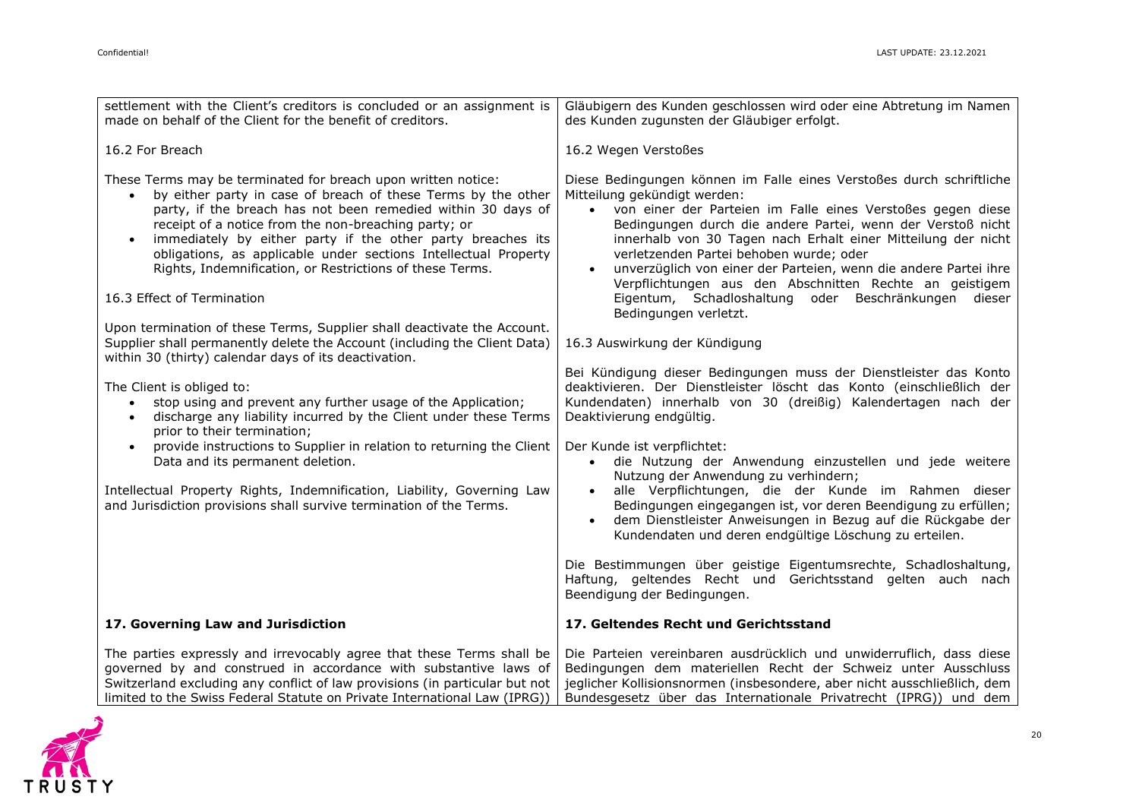| settlement with the Client's creditors is concluded or an assignment is<br>made on behalf of the Client for the benefit of creditors.                                                                                                                                                                                                                                                                                                                                                                                                                                                                                                                                                                                                                                                                                                                                                                                                                                                                                                                               | Gläubigern des Kunden geschlossen wird oder eine Abtretung im Namen<br>des Kunden zugunsten der Gläubiger erfolgt.                                                                                                                                                                                                                                                                                                                                                                                                                                                                                                                                                                                                                                                                                                                                                                                                                                                                        |
|---------------------------------------------------------------------------------------------------------------------------------------------------------------------------------------------------------------------------------------------------------------------------------------------------------------------------------------------------------------------------------------------------------------------------------------------------------------------------------------------------------------------------------------------------------------------------------------------------------------------------------------------------------------------------------------------------------------------------------------------------------------------------------------------------------------------------------------------------------------------------------------------------------------------------------------------------------------------------------------------------------------------------------------------------------------------|-------------------------------------------------------------------------------------------------------------------------------------------------------------------------------------------------------------------------------------------------------------------------------------------------------------------------------------------------------------------------------------------------------------------------------------------------------------------------------------------------------------------------------------------------------------------------------------------------------------------------------------------------------------------------------------------------------------------------------------------------------------------------------------------------------------------------------------------------------------------------------------------------------------------------------------------------------------------------------------------|
| 16.2 For Breach                                                                                                                                                                                                                                                                                                                                                                                                                                                                                                                                                                                                                                                                                                                                                                                                                                                                                                                                                                                                                                                     | 16.2 Wegen Verstoßes                                                                                                                                                                                                                                                                                                                                                                                                                                                                                                                                                                                                                                                                                                                                                                                                                                                                                                                                                                      |
| These Terms may be terminated for breach upon written notice:<br>by either party in case of breach of these Terms by the other<br>$\bullet$<br>party, if the breach has not been remedied within 30 days of<br>receipt of a notice from the non-breaching party; or<br>immediately by either party if the other party breaches its<br>obligations, as applicable under sections Intellectual Property<br>Rights, Indemnification, or Restrictions of these Terms.<br>16.3 Effect of Termination<br>Upon termination of these Terms, Supplier shall deactivate the Account.<br>Supplier shall permanently delete the Account (including the Client Data)<br>within 30 (thirty) calendar days of its deactivation.<br>The Client is obliged to:<br>stop using and prevent any further usage of the Application;<br>$\bullet$<br>discharge any liability incurred by the Client under these Terms<br>$\bullet$<br>prior to their termination;<br>provide instructions to Supplier in relation to returning the Client<br>$\bullet$<br>Data and its permanent deletion. | Diese Bedingungen können im Falle eines Verstoßes durch schriftliche<br>Mitteilung gekündigt werden:<br>von einer der Parteien im Falle eines Verstoßes gegen diese<br>$\bullet$<br>Bedingungen durch die andere Partei, wenn der Verstoß nicht<br>innerhalb von 30 Tagen nach Erhalt einer Mitteilung der nicht<br>verletzenden Partei behoben wurde; oder<br>unverzüglich von einer der Parteien, wenn die andere Partei ihre<br>Verpflichtungen aus den Abschnitten Rechte an geistigem<br>Eigentum, Schadloshaltung oder Beschränkungen dieser<br>Bedingungen verletzt.<br>16.3 Auswirkung der Kündigung<br>Bei Kündigung dieser Bedingungen muss der Dienstleister das Konto<br>deaktivieren. Der Dienstleister löscht das Konto (einschließlich der<br>Kundendaten) innerhalb von 30 (dreißig) Kalendertagen nach der<br>Deaktivierung endgültig.<br>Der Kunde ist verpflichtet:<br>die Nutzung der Anwendung einzustellen und jede weitere<br>Nutzung der Anwendung zu verhindern; |
| Intellectual Property Rights, Indemnification, Liability, Governing Law<br>and Jurisdiction provisions shall survive termination of the Terms.                                                                                                                                                                                                                                                                                                                                                                                                                                                                                                                                                                                                                                                                                                                                                                                                                                                                                                                      | alle Verpflichtungen, die der Kunde im Rahmen dieser<br>$\bullet$<br>Bedingungen eingegangen ist, vor deren Beendigung zu erfüllen;<br>dem Dienstleister Anweisungen in Bezug auf die Rückgabe der<br>Kundendaten und deren endgültige Löschung zu erteilen.                                                                                                                                                                                                                                                                                                                                                                                                                                                                                                                                                                                                                                                                                                                              |
|                                                                                                                                                                                                                                                                                                                                                                                                                                                                                                                                                                                                                                                                                                                                                                                                                                                                                                                                                                                                                                                                     | Die Bestimmungen über geistige Eigentumsrechte, Schadloshaltung,<br>Haftung, geltendes Recht und Gerichtsstand gelten auch nach<br>Beendigung der Bedingungen.                                                                                                                                                                                                                                                                                                                                                                                                                                                                                                                                                                                                                                                                                                                                                                                                                            |
| 17. Governing Law and Jurisdiction                                                                                                                                                                                                                                                                                                                                                                                                                                                                                                                                                                                                                                                                                                                                                                                                                                                                                                                                                                                                                                  | 17. Geltendes Recht und Gerichtsstand                                                                                                                                                                                                                                                                                                                                                                                                                                                                                                                                                                                                                                                                                                                                                                                                                                                                                                                                                     |
| The parties expressly and irrevocably agree that these Terms shall be<br>governed by and construed in accordance with substantive laws of<br>Switzerland excluding any conflict of law provisions (in particular but not<br>limited to the Swiss Federal Statute on Private International Law (IPRG))                                                                                                                                                                                                                                                                                                                                                                                                                                                                                                                                                                                                                                                                                                                                                               | Die Parteien vereinbaren ausdrücklich und unwiderruflich, dass diese<br>Bedingungen dem materiellen Recht der Schweiz unter Ausschluss<br>jeglicher Kollisionsnormen (insbesondere, aber nicht ausschließlich, dem<br>Bundesgesetz über das Internationale Privatrecht (IPRG)) und dem                                                                                                                                                                                                                                                                                                                                                                                                                                                                                                                                                                                                                                                                                                    |

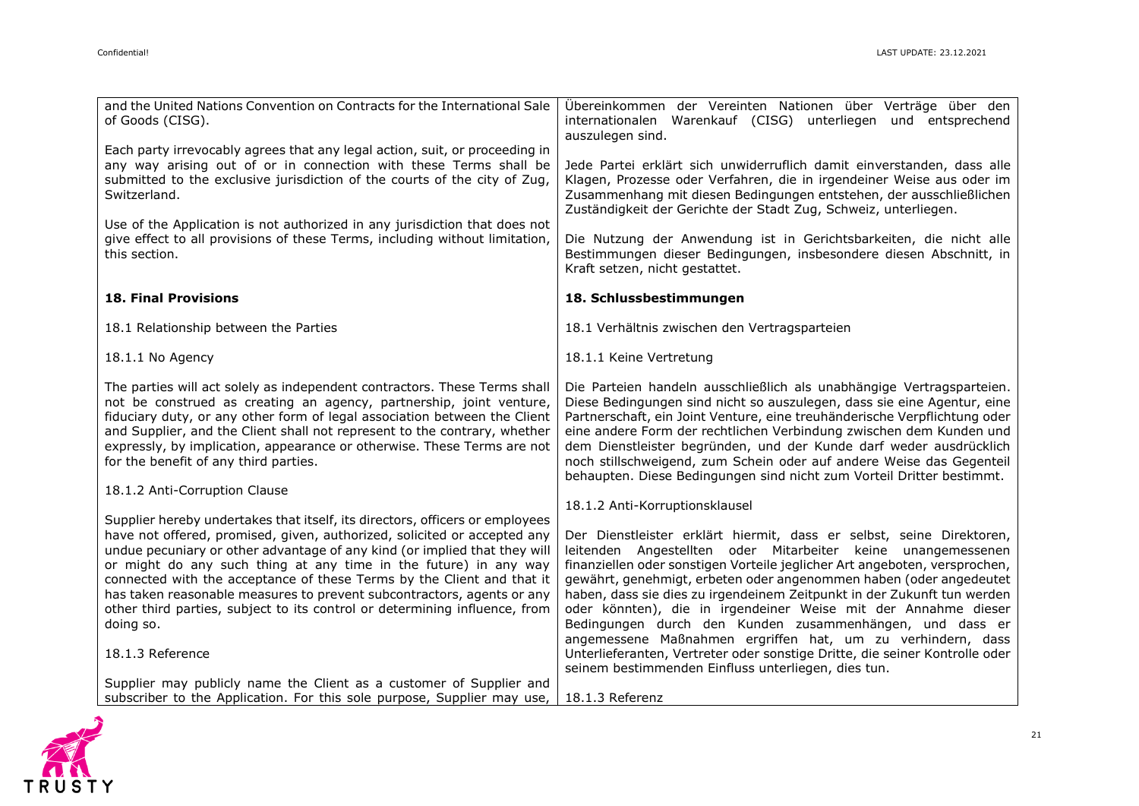| and the United Nations Convention on Contracts for the International Sale                                                                              | Übereinkommen der Vereinten Nationen über Verträge über den                                                                                      |
|--------------------------------------------------------------------------------------------------------------------------------------------------------|--------------------------------------------------------------------------------------------------------------------------------------------------|
| of Goods (CISG).                                                                                                                                       | internationalen Warenkauf (CISG) unterliegen und entsprechend<br>auszulegen sind.                                                                |
| Each party irrevocably agrees that any legal action, suit, or proceeding in                                                                            |                                                                                                                                                  |
| any way arising out of or in connection with these Terms shall be<br>submitted to the exclusive jurisdiction of the courts of the city of Zug,         | Jede Partei erklärt sich unwiderruflich damit einverstanden, dass alle<br>Klagen, Prozesse oder Verfahren, die in irgendeiner Weise aus oder im  |
| Switzerland.                                                                                                                                           | Zusammenhang mit diesen Bedingungen entstehen, der ausschließlichen                                                                              |
|                                                                                                                                                        | Zuständigkeit der Gerichte der Stadt Zug, Schweiz, unterliegen.                                                                                  |
| Use of the Application is not authorized in any jurisdiction that does not                                                                             |                                                                                                                                                  |
| give effect to all provisions of these Terms, including without limitation,<br>this section.                                                           | Die Nutzung der Anwendung ist in Gerichtsbarkeiten, die nicht alle<br>Bestimmungen dieser Bedingungen, insbesondere diesen Abschnitt, in         |
|                                                                                                                                                        | Kraft setzen, nicht gestattet.                                                                                                                   |
| <b>18. Final Provisions</b>                                                                                                                            | 18. Schlussbestimmungen                                                                                                                          |
| 18.1 Relationship between the Parties                                                                                                                  | 18.1 Verhältnis zwischen den Vertragsparteien                                                                                                    |
| 18.1.1 No Agency                                                                                                                                       | 18.1.1 Keine Vertretung                                                                                                                          |
| The parties will act solely as independent contractors. These Terms shall                                                                              | Die Parteien handeln ausschließlich als unabhängige Vertragsparteien.                                                                            |
| not be construed as creating an agency, partnership, joint venture,                                                                                    | Diese Bedingungen sind nicht so auszulegen, dass sie eine Agentur, eine                                                                          |
| fiduciary duty, or any other form of legal association between the Client<br>and Supplier, and the Client shall not represent to the contrary, whether | Partnerschaft, ein Joint Venture, eine treuhänderische Verpflichtung oder<br>eine andere Form der rechtlichen Verbindung zwischen dem Kunden und |
| expressly, by implication, appearance or otherwise. These Terms are not                                                                                | dem Dienstleister begründen, und der Kunde darf weder ausdrücklich                                                                               |
| for the benefit of any third parties.                                                                                                                  | noch stillschweigend, zum Schein oder auf andere Weise das Gegenteil                                                                             |
| 18.1.2 Anti-Corruption Clause                                                                                                                          | behaupten. Diese Bedingungen sind nicht zum Vorteil Dritter bestimmt.                                                                            |
|                                                                                                                                                        | 18.1.2 Anti-Korruptionsklausel                                                                                                                   |
| Supplier hereby undertakes that itself, its directors, officers or employees                                                                           |                                                                                                                                                  |
| have not offered, promised, given, authorized, solicited or accepted any<br>undue pecuniary or other advantage of any kind (or implied that they will  | Der Dienstleister erklärt hiermit, dass er selbst, seine Direktoren,<br>leitenden Angestellten oder Mitarbeiter keine unangemessenen             |
| or might do any such thing at any time in the future) in any way                                                                                       | finanziellen oder sonstigen Vorteile jeglicher Art angeboten, versprochen,                                                                       |
| connected with the acceptance of these Terms by the Client and that it                                                                                 | gewährt, genehmigt, erbeten oder angenommen haben (oder angedeutet                                                                               |
| has taken reasonable measures to prevent subcontractors, agents or any                                                                                 | haben, dass sie dies zu irgendeinem Zeitpunkt in der Zukunft tun werden                                                                          |
| other third parties, subject to its control or determining influence, from<br>doing so.                                                                | oder könnten), die in irgendeiner Weise mit der Annahme dieser<br>Bedingungen durch den Kunden zusammenhängen, und dass er                       |
|                                                                                                                                                        | angemessene Maßnahmen ergriffen hat, um zu verhindern, dass                                                                                      |
| 18.1.3 Reference                                                                                                                                       | Unterlieferanten, Vertreter oder sonstige Dritte, die seiner Kontrolle oder                                                                      |
| Supplier may publicly name the Client as a customer of Supplier and                                                                                    | seinem bestimmenden Einfluss unterliegen, dies tun.                                                                                              |
| subscriber to the Application. For this sole purpose, Supplier may use,                                                                                | 18.1.3 Referenz                                                                                                                                  |

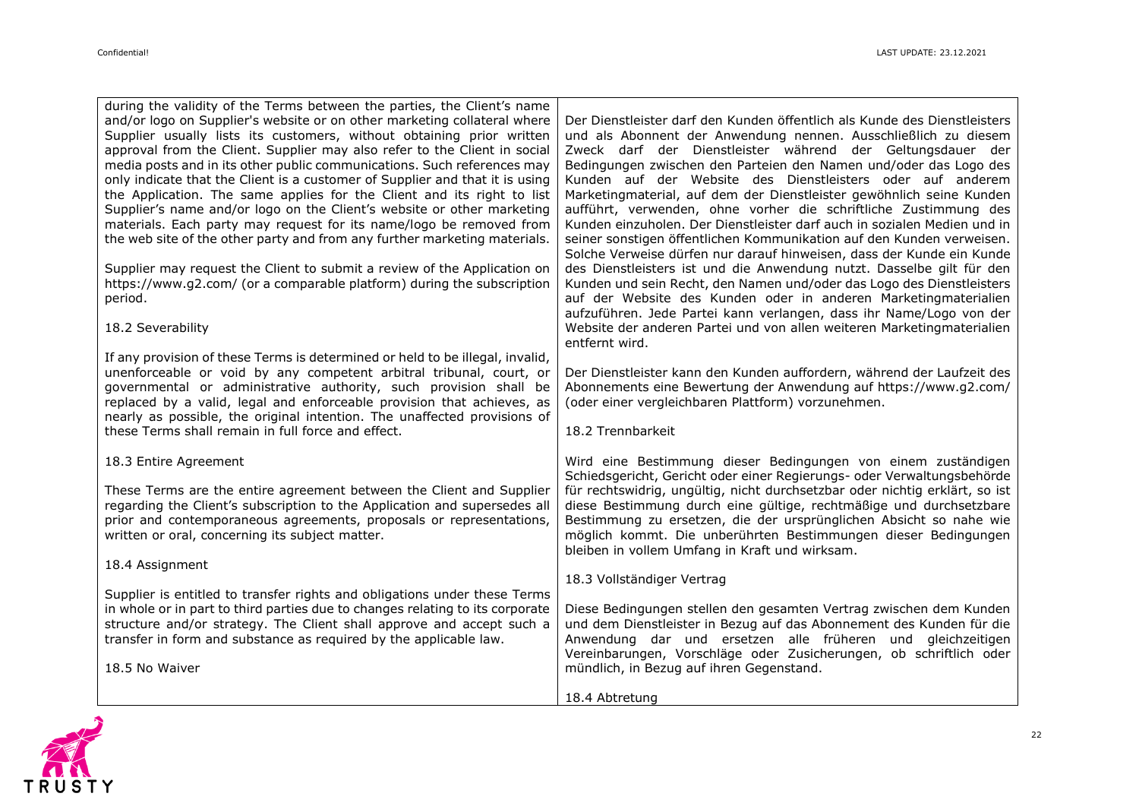during the validity of the Terms between the parties, the Client's name and/or logo on Supplier's website or on other marketing collateral where Supplier usually lists its customers, without obtaining prior written approval from the Client. Supplier may also refer to the Client in social media posts and in its other public communications. Such references may only indicate that the Client is a customer of Supplier and that it is using the Application. The same applies for the Client and its right to list Supplier's name and/or logo on the Client's website or other marketing materials. Each party may request for its name/logo be removed from the web site of the other party and from any further marketing materials.

Supplier may request the Client to submit a review of the Application on https://www.g2.com/ (or a comparable platform) during the subscription period.

## 18.2 Severability

If any provision of these Terms is determined or held to be illegal, invalid, unenforceable or void by any competent arbitral tribunal, court, or governmental or administrative authority, such provision shall be replaced by a valid, legal and enforceable provision that achieves, as nearly as possible, the original intention. The unaffected provisions of these Terms shall remain in full force and effect.

## 18.3 Entire Agreement

These Terms are the entire agreement between the Client and Supplier regarding the Client's subscription to the Application and supersedes all prior and contemporaneous agreements, proposals or representations, written or oral, concerning its subject matter.

#### 18.4 Assignment

Supplier is entitled to transfer rights and obligations under these Terms in whole or in part to third parties due to changes relating to its corporate structure and/or strategy. The Client shall approve and accept such a transfer in form and substance as required by the applicable law.

18.5 No Waiver

Der Dienstleister darf den Kunden öffentlich als Kunde des Dienstleisters und als Abonnent der Anwendung nennen. Ausschließlich zu diesem Zweck darf der Dienstleister während der Geltungsdauer der Bedingungen zwischen den Parteien den Namen und/oder das Logo des Kunden auf der Website des Dienstleisters oder auf anderem Marketingmaterial, auf dem der Dienstleister gewöhnlich seine Kunden aufführt, verwenden, ohne vorher die schriftliche Zustimmung des Kunden einzuholen. Der Dienstleister darf auch in sozialen Medien und in seiner sonstigen öffentlichen Kommunikation auf den Kunden verweisen. Solche Verweise dürfen nur darauf hinweisen, dass der Kunde ein Kunde des Dienstleisters ist und die Anwendung nutzt. Dasselbe gilt für den Kunden und sein Recht, den Namen und/oder das Logo des Dienstleisters auf der Website des Kunden oder in anderen Marketingmaterialien aufzuführen. Jede Partei kann verlangen, dass ihr Name/Logo von der Website der anderen Partei und von allen weiteren Marketingmaterialien entfernt wird.

Der Dienstleister kann den Kunden auffordern, während der Laufzeit des Abonnements eine Bewertung der Anwendung auf https://www.g2.com/ (oder einer vergleichbaren Plattform) vorzunehmen.

#### 18.2 Trennbarkeit

Wird eine Bestimmung dieser Bedingungen von einem zuständigen Schiedsgericht, Gericht oder einer Regierungs- oder Verwaltungsbehörde für rechtswidrig, ungültig, nicht durchsetzbar oder nichtig erklärt, so ist diese Bestimmung durch eine gültige, rechtmäßige und durchsetzbare Bestimmung zu ersetzen, die der ursprünglichen Absicht so nahe wie möglich kommt. Die unberührten Bestimmungen dieser Bedingungen bleiben in vollem Umfang in Kraft und wirksam.

18.3 Vollständiger Vertrag

Diese Bedingungen stellen den gesamten Vertrag zwischen dem Kunden und dem Dienstleister in Bezug auf das Abonnement des Kunden für die Anwendung dar und ersetzen alle früheren und gleichzeitigen Vereinbarungen, Vorschläge oder Zusicherungen, ob schriftlich oder mündlich, in Bezug auf ihren Gegenstand.

18.4 Abtretung